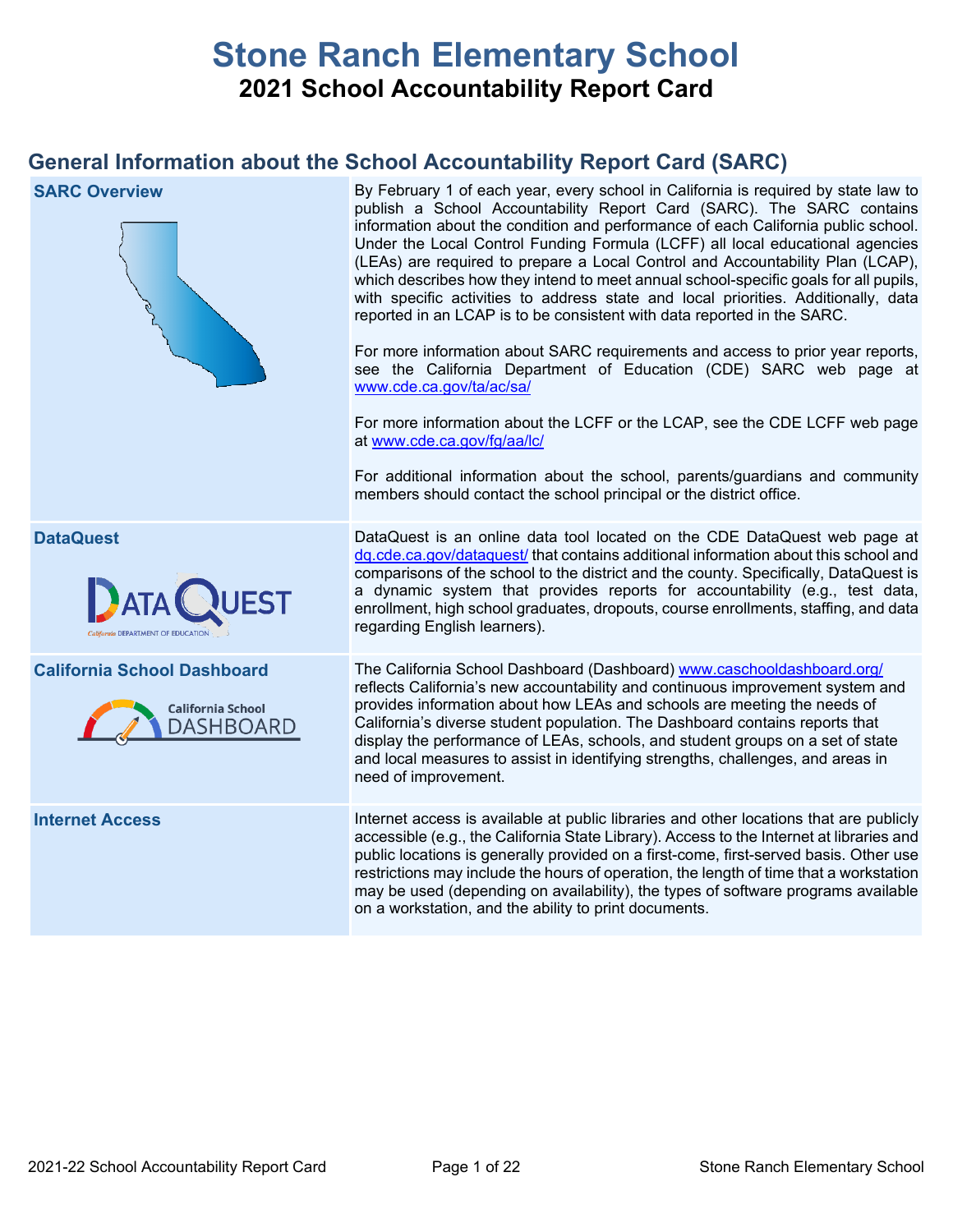# **Stone Ranch Elementary School 2021 School Accountability Report Card**

## **General Information about the School Accountability Report Card (SARC)**

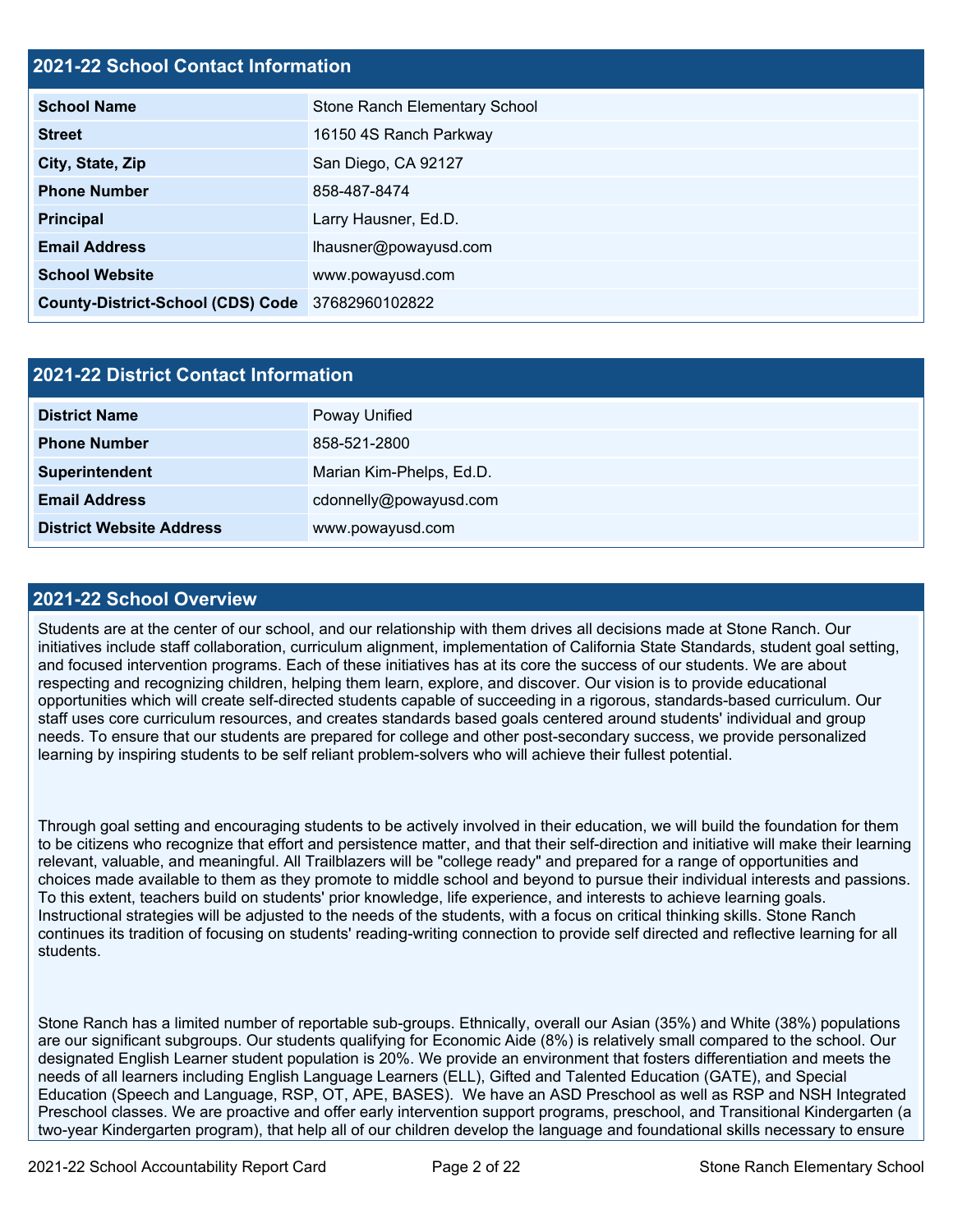### **2021-22 School Contact Information**

| <b>School Name</b>                       | Stone Ranch Elementary School |
|------------------------------------------|-------------------------------|
| <b>Street</b>                            | 16150 4S Ranch Parkway        |
| City, State, Zip                         | San Diego, CA 92127           |
| <b>Phone Number</b>                      | 858-487-8474                  |
| Principal                                | Larry Hausner, Ed.D.          |
| <b>Email Address</b>                     | lhausner@powayusd.com         |
| <b>School Website</b>                    | www.powayusd.com              |
| <b>County-District-School (CDS) Code</b> | 37682960102822                |

| 2021-22 District Contact Information |                          |  |  |
|--------------------------------------|--------------------------|--|--|
| <b>District Name</b>                 | Poway Unified            |  |  |
| <b>Phone Number</b>                  | 858-521-2800             |  |  |
| Superintendent                       | Marian Kim-Phelps, Ed.D. |  |  |
| <b>Email Address</b>                 | cdonnelly@powayusd.com   |  |  |
| <b>District Website Address</b>      | www.powayusd.com         |  |  |

### **2021-22 School Overview**

Students are at the center of our school, and our relationship with them drives all decisions made at Stone Ranch. Our initiatives include staff collaboration, curriculum alignment, implementation of California State Standards, student goal setting, and focused intervention programs. Each of these initiatives has at its core the success of our students. We are about respecting and recognizing children, helping them learn, explore, and discover. Our vision is to provide educational opportunities which will create self-directed students capable of succeeding in a rigorous, standards-based curriculum. Our staff uses core curriculum resources, and creates standards based goals centered around students' individual and group needs. To ensure that our students are prepared for college and other post-secondary success, we provide personalized learning by inspiring students to be self reliant problem-solvers who will achieve their fullest potential.

Through goal setting and encouraging students to be actively involved in their education, we will build the foundation for them to be citizens who recognize that effort and persistence matter, and that their self-direction and initiative will make their learning relevant, valuable, and meaningful. All Trailblazers will be "college ready" and prepared for a range of opportunities and choices made available to them as they promote to middle school and beyond to pursue their individual interests and passions. To this extent, teachers build on students' prior knowledge, life experience, and interests to achieve learning goals. Instructional strategies will be adjusted to the needs of the students, with a focus on critical thinking skills. Stone Ranch continues its tradition of focusing on students' reading-writing connection to provide self directed and reflective learning for all students.

Stone Ranch has a limited number of reportable sub-groups. Ethnically, overall our Asian (35%) and White (38%) populations are our significant subgroups. Our students qualifying for Economic Aide (8%) is relatively small compared to the school. Our designated English Learner student population is 20%. We provide an environment that fosters differentiation and meets the needs of all learners including English Language Learners (ELL), Gifted and Talented Education (GATE), and Special Education (Speech and Language, RSP, OT, APE, BASES). We have an ASD Preschool as well as RSP and NSH Integrated Preschool classes. We are proactive and offer early intervention support programs, preschool, and Transitional Kindergarten (a two-year Kindergarten program), that help all of our children develop the language and foundational skills necessary to ensure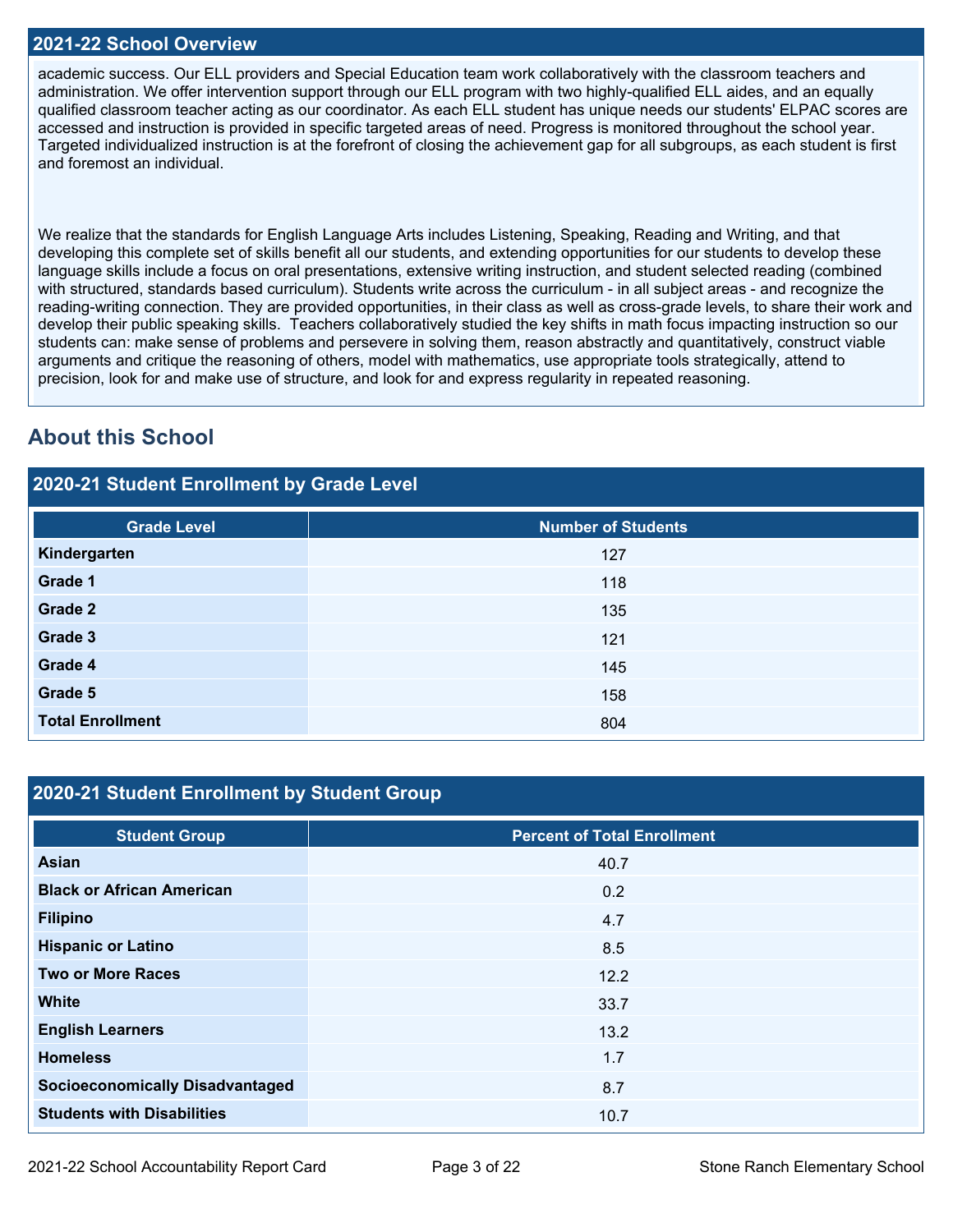### **2021-22 School Overview**

academic success. Our ELL providers and Special Education team work collaboratively with the classroom teachers and administration. We offer intervention support through our ELL program with two highly-qualified ELL aides, and an equally qualified classroom teacher acting as our coordinator. As each ELL student has unique needs our students' ELPAC scores are accessed and instruction is provided in specific targeted areas of need. Progress is monitored throughout the school year. Targeted individualized instruction is at the forefront of closing the achievement gap for all subgroups, as each student is first and foremost an individual.

We realize that the standards for English Language Arts includes Listening, Speaking, Reading and Writing, and that developing this complete set of skills benefit all our students, and extending opportunities for our students to develop these language skills include a focus on oral presentations, extensive writing instruction, and student selected reading (combined with structured, standards based curriculum). Students write across the curriculum - in all subject areas - and recognize the reading-writing connection. They are provided opportunities, in their class as well as cross-grade levels, to share their work and develop their public speaking skills. Teachers collaboratively studied the key shifts in math focus impacting instruction so our students can: make sense of problems and persevere in solving them, reason abstractly and quantitatively, construct viable arguments and critique the reasoning of others, model with mathematics, use appropriate tools strategically, attend to precision, look for and make use of structure, and look for and express regularity in repeated reasoning.

## **About this School**

### **2020-21 Student Enrollment by Grade Level**

| <b>Grade Level</b>      | <b>Number of Students</b> |
|-------------------------|---------------------------|
| Kindergarten            | 127                       |
| Grade 1                 | 118                       |
| Grade 2                 | 135                       |
| Grade 3                 | 121                       |
| Grade 4                 | 145                       |
| Grade 5                 | 158                       |
| <b>Total Enrollment</b> | 804                       |

### **2020-21 Student Enrollment by Student Group**

| <b>Student Group</b>                   | <b>Percent of Total Enrollment</b> |
|----------------------------------------|------------------------------------|
| Asian                                  | 40.7                               |
| <b>Black or African American</b>       | 0.2                                |
| <b>Filipino</b>                        | 4.7                                |
| <b>Hispanic or Latino</b>              | 8.5                                |
| <b>Two or More Races</b>               | 12.2                               |
| <b>White</b>                           | 33.7                               |
| <b>English Learners</b>                | 13.2                               |
| <b>Homeless</b>                        | 1.7                                |
| <b>Socioeconomically Disadvantaged</b> | 8.7                                |
| <b>Students with Disabilities</b>      | 10.7                               |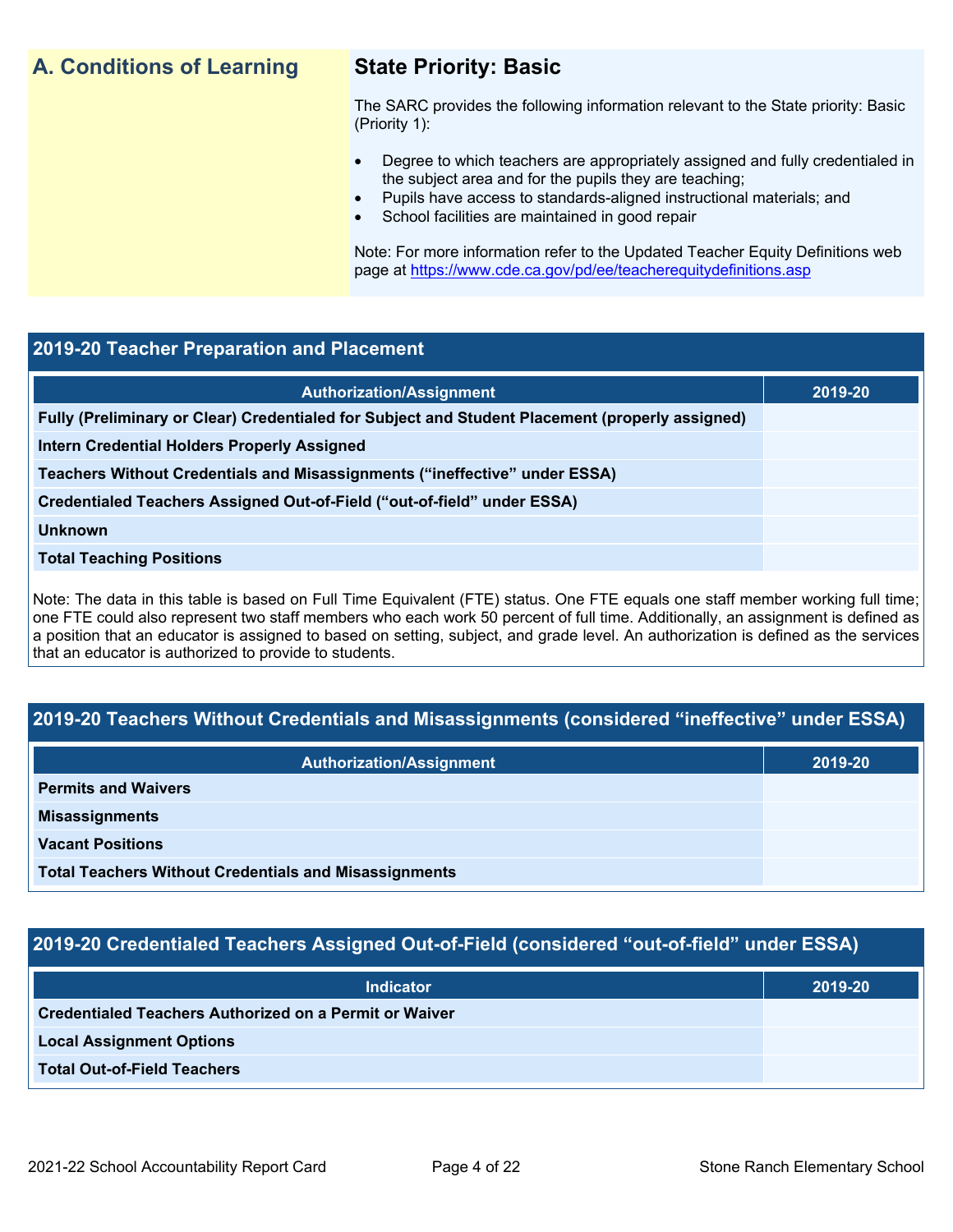## **A. Conditions of Learning State Priority: Basic**

The SARC provides the following information relevant to the State priority: Basic (Priority 1):

- Degree to which teachers are appropriately assigned and fully credentialed in the subject area and for the pupils they are teaching;
	- Pupils have access to standards-aligned instructional materials; and
- School facilities are maintained in good repair

Note: For more information refer to the Updated Teacher Equity Definitions web page at<https://www.cde.ca.gov/pd/ee/teacherequitydefinitions.asp>

### **2019-20 Teacher Preparation and Placement**

| <b>Authorization/Assignment</b>                                                                 | 2019-20 |
|-------------------------------------------------------------------------------------------------|---------|
| Fully (Preliminary or Clear) Credentialed for Subject and Student Placement (properly assigned) |         |
| Intern Credential Holders Properly Assigned                                                     |         |
| Teachers Without Credentials and Misassignments ("ineffective" under ESSA)                      |         |
| Credentialed Teachers Assigned Out-of-Field ("out-of-field" under ESSA)                         |         |
| <b>Unknown</b>                                                                                  |         |
| <b>Total Teaching Positions</b>                                                                 |         |
|                                                                                                 |         |

Note: The data in this table is based on Full Time Equivalent (FTE) status. One FTE equals one staff member working full time; one FTE could also represent two staff members who each work 50 percent of full time. Additionally, an assignment is defined as a position that an educator is assigned to based on setting, subject, and grade level. An authorization is defined as the services that an educator is authorized to provide to students.

### **2019-20 Teachers Without Credentials and Misassignments (considered "ineffective" under ESSA)**

| <b>Authorization/Assignment</b>                              | 2019-20 |
|--------------------------------------------------------------|---------|
| <b>Permits and Waivers</b>                                   |         |
| <b>Misassignments</b>                                        |         |
| <b>Vacant Positions</b>                                      |         |
| <b>Total Teachers Without Credentials and Misassignments</b> |         |

### **2019-20 Credentialed Teachers Assigned Out-of-Field (considered "out-of-field" under ESSA)**

| <b>Indicator</b>                                              | 2019-20 |
|---------------------------------------------------------------|---------|
| <b>Credentialed Teachers Authorized on a Permit or Waiver</b> |         |
| <b>Local Assignment Options</b>                               |         |
| <b>Total Out-of-Field Teachers</b>                            |         |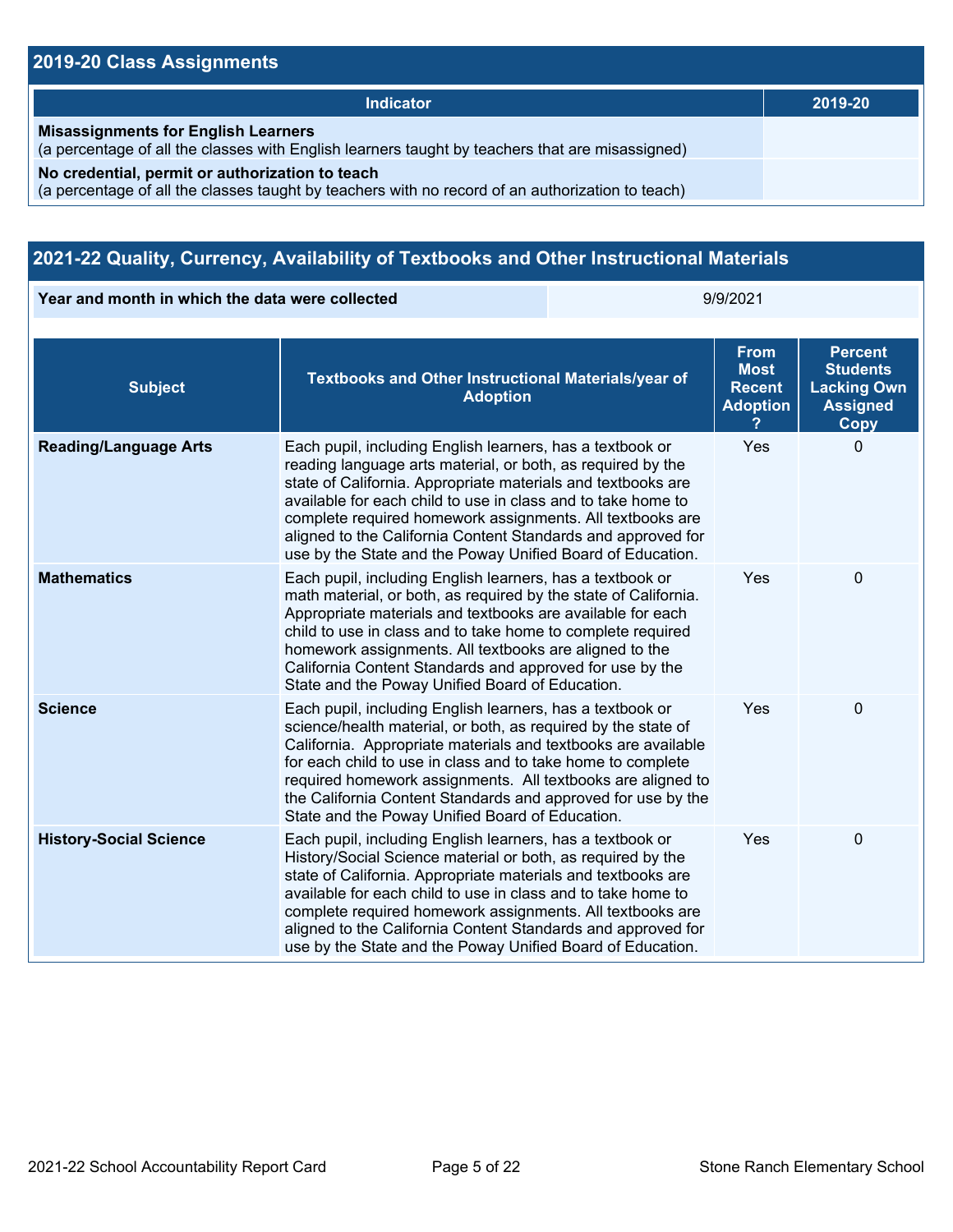### **2019-20 Class Assignments**

| Indicator                                                                                                                                           | 2019-20 |
|-----------------------------------------------------------------------------------------------------------------------------------------------------|---------|
| <b>Misassignments for English Learners</b><br>(a percentage of all the classes with English learners taught by teachers that are misassigned)       |         |
| No credential, permit or authorization to teach<br>(a percentage of all the classes taught by teachers with no record of an authorization to teach) |         |

## **2021-22 Quality, Currency, Availability of Textbooks and Other Instructional Materials**

**Year and month in which the data were collected** 9/9/2021

| <b>Subject</b>                | <b>Textbooks and Other Instructional Materials/year of</b><br><b>Adoption</b>                                                                                                                                                                                                                                                                                                                                                                       | <b>From</b><br><b>Most</b><br><b>Recent</b><br><b>Adoption</b> | <b>Percent</b><br><b>Students</b><br><b>Lacking Own</b><br><b>Assigned</b><br>Copy |
|-------------------------------|-----------------------------------------------------------------------------------------------------------------------------------------------------------------------------------------------------------------------------------------------------------------------------------------------------------------------------------------------------------------------------------------------------------------------------------------------------|----------------------------------------------------------------|------------------------------------------------------------------------------------|
| <b>Reading/Language Arts</b>  | Each pupil, including English learners, has a textbook or<br>reading language arts material, or both, as required by the<br>state of California. Appropriate materials and textbooks are<br>available for each child to use in class and to take home to<br>complete required homework assignments. All textbooks are<br>aligned to the California Content Standards and approved for<br>use by the State and the Poway Unified Board of Education. | Yes                                                            | $\Omega$                                                                           |
| <b>Mathematics</b>            | Each pupil, including English learners, has a textbook or<br>math material, or both, as required by the state of California.<br>Appropriate materials and textbooks are available for each<br>child to use in class and to take home to complete required<br>homework assignments. All textbooks are aligned to the<br>California Content Standards and approved for use by the<br>State and the Poway Unified Board of Education.                  | Yes                                                            | 0                                                                                  |
| <b>Science</b>                | Each pupil, including English learners, has a textbook or<br>science/health material, or both, as required by the state of<br>California. Appropriate materials and textbooks are available<br>for each child to use in class and to take home to complete<br>required homework assignments. All textbooks are aligned to<br>the California Content Standards and approved for use by the<br>State and the Poway Unified Board of Education.        | Yes                                                            | 0                                                                                  |
| <b>History-Social Science</b> | Each pupil, including English learners, has a textbook or<br>History/Social Science material or both, as required by the<br>state of California. Appropriate materials and textbooks are<br>available for each child to use in class and to take home to<br>complete required homework assignments. All textbooks are<br>aligned to the California Content Standards and approved for<br>use by the State and the Poway Unified Board of Education. | Yes                                                            | 0                                                                                  |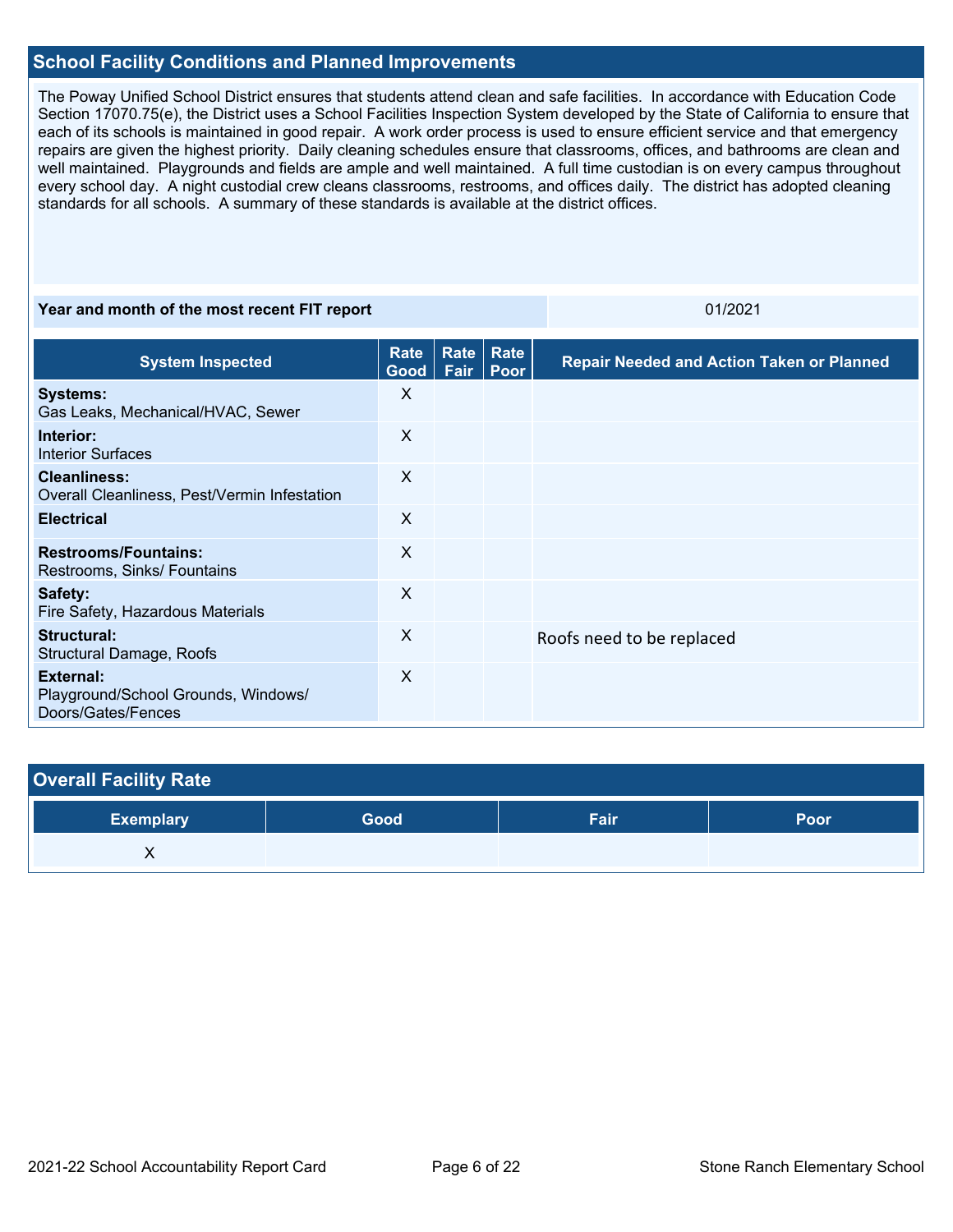### **School Facility Conditions and Planned Improvements**

The Poway Unified School District ensures that students attend clean and safe facilities. In accordance with Education Code Section 17070.75(e), the District uses a School Facilities Inspection System developed by the State of California to ensure that each of its schools is maintained in good repair. A work order process is used to ensure efficient service and that emergency repairs are given the highest priority. Daily cleaning schedules ensure that classrooms, offices, and bathrooms are clean and well maintained. Playgrounds and fields are ample and well maintained. A full time custodian is on every campus throughout every school day. A night custodial crew cleans classrooms, restrooms, and offices daily. The district has adopted cleaning standards for all schools. A summary of these standards is available at the district offices.

### **Year and month of the most recent FIT report CONSERVIATES AND REPORT OF A SET OF A SET OF A SET OF A SET OF A SET OF A SET OF A SET OF A SET OF A SET OF A SET OF A SET OF A SET OF A SET OF A SET OF A SET OF A SET OF A S**

| <b>System Inspected</b>                                                | Rate<br>Good | Rate<br>Fair | Rate<br>Poor | <b>Repair Needed and Action Taken or Planned</b> |
|------------------------------------------------------------------------|--------------|--------------|--------------|--------------------------------------------------|
| <b>Systems:</b><br>Gas Leaks, Mechanical/HVAC, Sewer                   | X            |              |              |                                                  |
| Interior:<br><b>Interior Surfaces</b>                                  | X            |              |              |                                                  |
| Cleanliness:<br>Overall Cleanliness, Pest/Vermin Infestation           | $\times$     |              |              |                                                  |
| <b>Electrical</b>                                                      | X            |              |              |                                                  |
| <b>Restrooms/Fountains:</b><br>Restrooms, Sinks/ Fountains             | $\times$     |              |              |                                                  |
| Safety:<br>Fire Safety, Hazardous Materials                            | $\times$     |              |              |                                                  |
| Structural:<br><b>Structural Damage, Roofs</b>                         | X            |              |              | Roofs need to be replaced                        |
| External:<br>Playground/School Grounds, Windows/<br>Doors/Gates/Fences | $\times$     |              |              |                                                  |

| <b>Overall Facility Rate</b> |      |      |      |
|------------------------------|------|------|------|
| <b>Exemplary</b>             | Good | Fair | Poor |
|                              |      |      |      |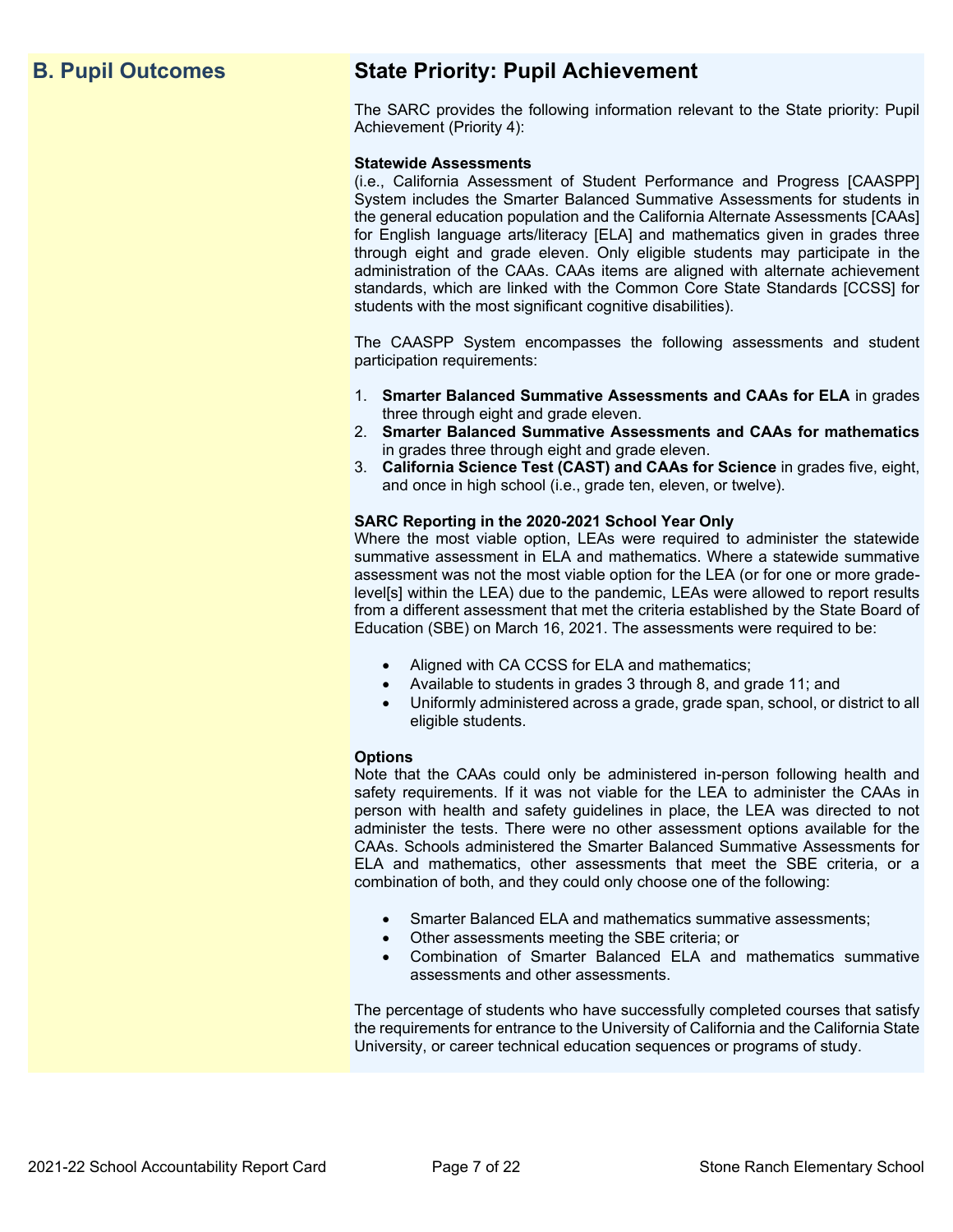## **B. Pupil Outcomes State Priority: Pupil Achievement**

The SARC provides the following information relevant to the State priority: Pupil Achievement (Priority 4):

### **Statewide Assessments**

(i.e., California Assessment of Student Performance and Progress [CAASPP] System includes the Smarter Balanced Summative Assessments for students in the general education population and the California Alternate Assessments [CAAs] for English language arts/literacy [ELA] and mathematics given in grades three through eight and grade eleven. Only eligible students may participate in the administration of the CAAs. CAAs items are aligned with alternate achievement standards, which are linked with the Common Core State Standards [CCSS] for students with the most significant cognitive disabilities).

The CAASPP System encompasses the following assessments and student participation requirements:

- 1. **Smarter Balanced Summative Assessments and CAAs for ELA** in grades three through eight and grade eleven.
- 2. **Smarter Balanced Summative Assessments and CAAs for mathematics** in grades three through eight and grade eleven.
- 3. **California Science Test (CAST) and CAAs for Science** in grades five, eight, and once in high school (i.e., grade ten, eleven, or twelve).

### **SARC Reporting in the 2020-2021 School Year Only**

Where the most viable option, LEAs were required to administer the statewide summative assessment in ELA and mathematics. Where a statewide summative assessment was not the most viable option for the LEA (or for one or more gradelevel[s] within the LEA) due to the pandemic, LEAs were allowed to report results from a different assessment that met the criteria established by the State Board of Education (SBE) on March 16, 2021. The assessments were required to be:

- Aligned with CA CCSS for ELA and mathematics;
- Available to students in grades 3 through 8, and grade 11; and
- Uniformly administered across a grade, grade span, school, or district to all eligible students.

### **Options**

Note that the CAAs could only be administered in-person following health and safety requirements. If it was not viable for the LEA to administer the CAAs in person with health and safety guidelines in place, the LEA was directed to not administer the tests. There were no other assessment options available for the CAAs. Schools administered the Smarter Balanced Summative Assessments for ELA and mathematics, other assessments that meet the SBE criteria, or a combination of both, and they could only choose one of the following:

- Smarter Balanced ELA and mathematics summative assessments;
- Other assessments meeting the SBE criteria; or
- Combination of Smarter Balanced ELA and mathematics summative assessments and other assessments.

The percentage of students who have successfully completed courses that satisfy the requirements for entrance to the University of California and the California State University, or career technical education sequences or programs of study.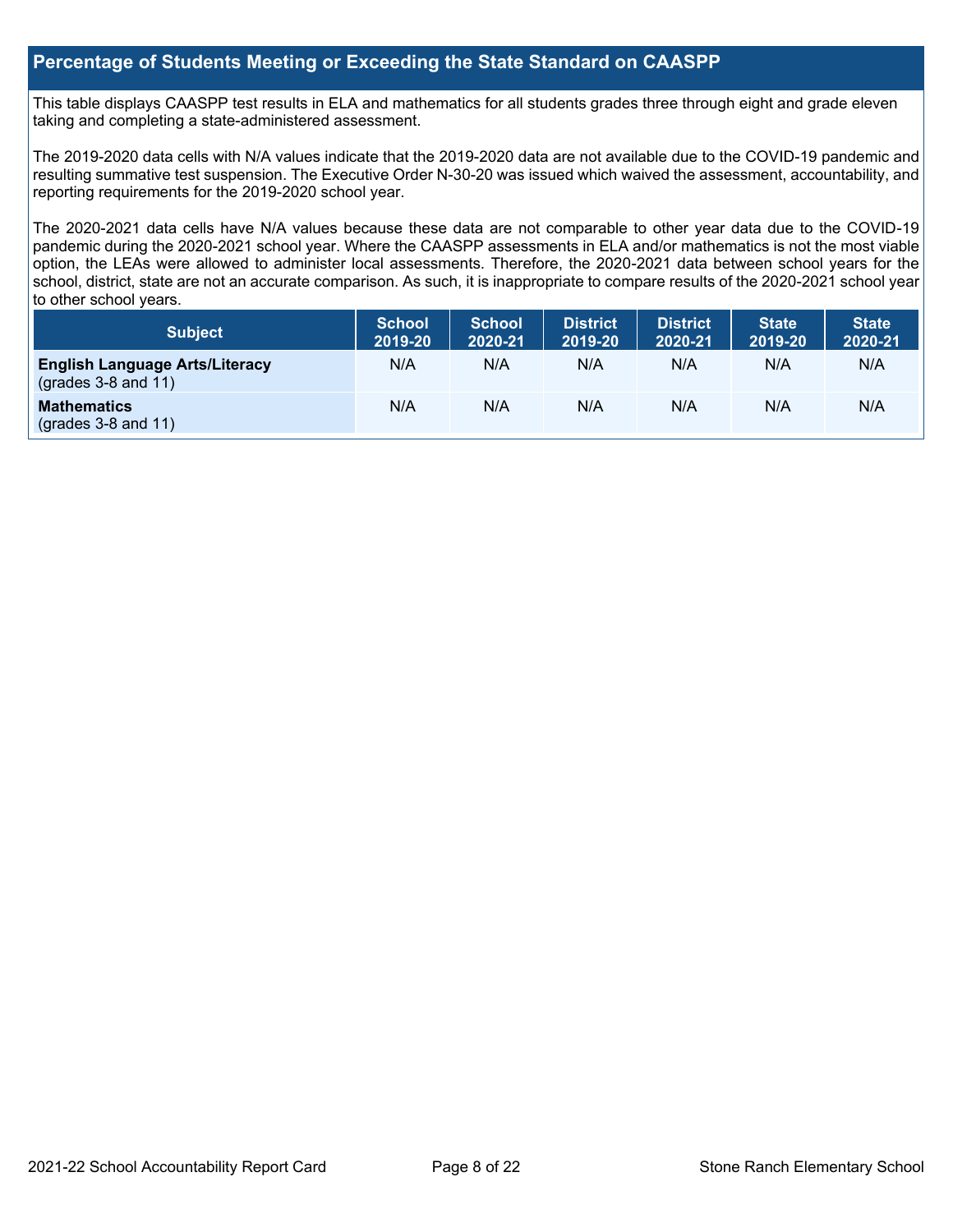### **Percentage of Students Meeting or Exceeding the State Standard on CAASPP**

This table displays CAASPP test results in ELA and mathematics for all students grades three through eight and grade eleven taking and completing a state-administered assessment.

The 2019-2020 data cells with N/A values indicate that the 2019-2020 data are not available due to the COVID-19 pandemic and resulting summative test suspension. The Executive Order N-30-20 was issued which waived the assessment, accountability, and reporting requirements for the 2019-2020 school year.

The 2020-2021 data cells have N/A values because these data are not comparable to other year data due to the COVID-19 pandemic during the 2020-2021 school year. Where the CAASPP assessments in ELA and/or mathematics is not the most viable option, the LEAs were allowed to administer local assessments. Therefore, the 2020-2021 data between school years for the school, district, state are not an accurate comparison. As such, it is inappropriate to compare results of the 2020-2021 school year to other school years.

| Subject                                                        | <b>School</b><br>2019-20 | <b>School</b><br>2020-21 | <b>District</b><br>2019-20 | <b>District</b><br>2020-21 | <b>State</b><br>2019-20 | <b>State</b><br>2020-21 |
|----------------------------------------------------------------|--------------------------|--------------------------|----------------------------|----------------------------|-------------------------|-------------------------|
| <b>English Language Arts/Literacy</b><br>$(grades 3-8 and 11)$ | N/A                      | N/A                      | N/A                        | N/A                        | N/A                     | N/A                     |
| <b>Mathematics</b><br>$($ grades 3-8 and 11 $)$                | N/A                      | N/A                      | N/A                        | N/A                        | N/A                     | N/A                     |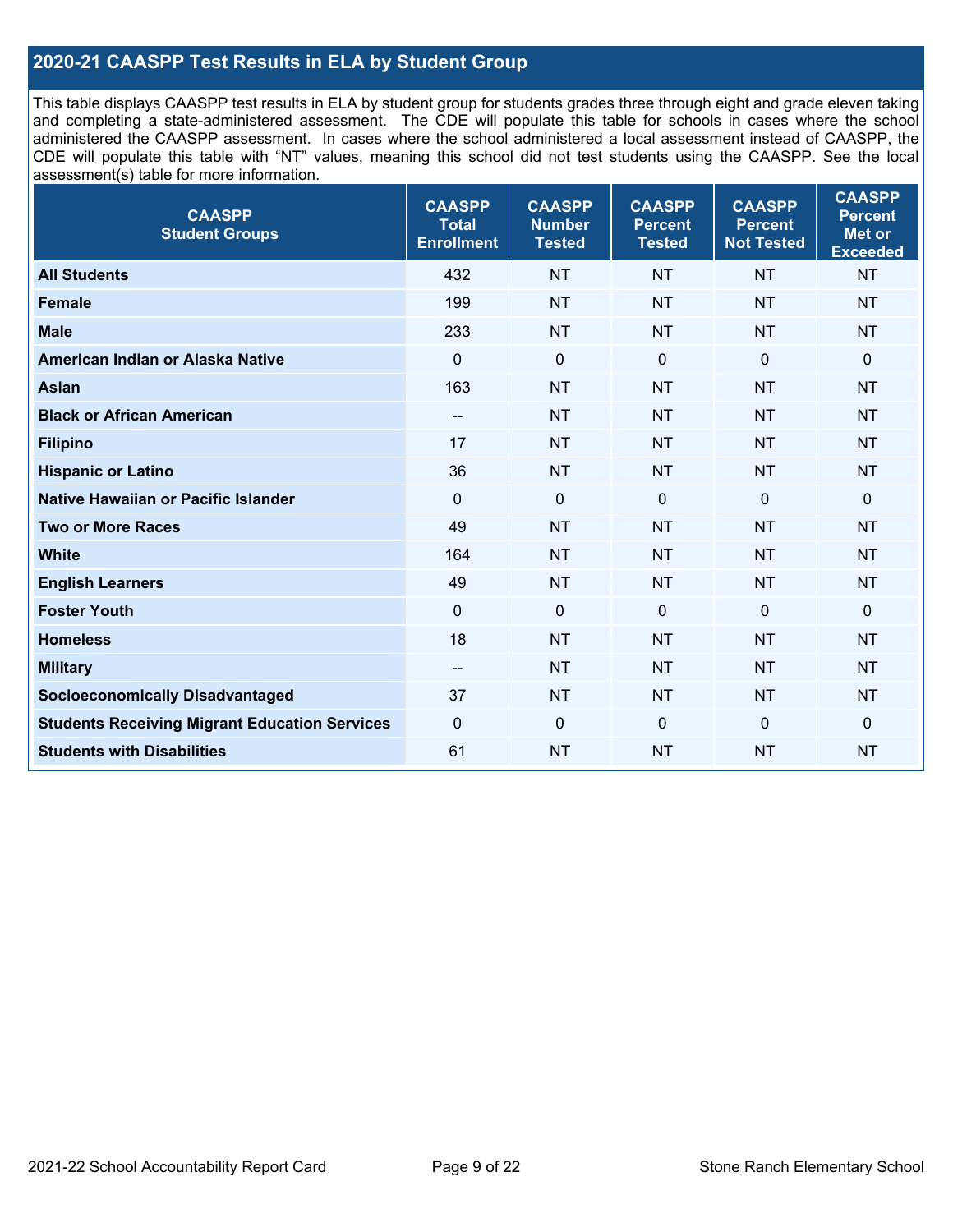### **2020-21 CAASPP Test Results in ELA by Student Group**

This table displays CAASPP test results in ELA by student group for students grades three through eight and grade eleven taking and completing a state-administered assessment. The CDE will populate this table for schools in cases where the school administered the CAASPP assessment. In cases where the school administered a local assessment instead of CAASPP, the CDE will populate this table with "NT" values, meaning this school did not test students using the CAASPP. See the local assessment(s) table for more information.

| <b>CAASPP</b><br><b>Student Groups</b>               | <b>CAASPP</b><br><b>Total</b><br><b>Enrollment</b> | <b>CAASPP</b><br><b>Number</b><br><b>Tested</b> | <b>CAASPP</b><br><b>Percent</b><br><b>Tested</b> | <b>CAASPP</b><br><b>Percent</b><br><b>Not Tested</b> | <b>CAASPP</b><br><b>Percent</b><br><b>Met or</b><br><b>Exceeded</b> |
|------------------------------------------------------|----------------------------------------------------|-------------------------------------------------|--------------------------------------------------|------------------------------------------------------|---------------------------------------------------------------------|
| <b>All Students</b>                                  | 432                                                | <b>NT</b>                                       | <b>NT</b>                                        | <b>NT</b>                                            | <b>NT</b>                                                           |
| <b>Female</b>                                        | 199                                                | <b>NT</b>                                       | <b>NT</b>                                        | <b>NT</b>                                            | <b>NT</b>                                                           |
| <b>Male</b>                                          | 233                                                | <b>NT</b>                                       | <b>NT</b>                                        | <b>NT</b>                                            | <b>NT</b>                                                           |
| American Indian or Alaska Native                     | $\mathbf 0$                                        | $\mathbf 0$                                     | $\mathbf 0$                                      | $\mathbf 0$                                          | $\mathbf 0$                                                         |
| <b>Asian</b>                                         | 163                                                | <b>NT</b>                                       | <b>NT</b>                                        | <b>NT</b>                                            | <b>NT</b>                                                           |
| <b>Black or African American</b>                     | $\overline{\phantom{a}}$                           | <b>NT</b>                                       | <b>NT</b>                                        | <b>NT</b>                                            | <b>NT</b>                                                           |
| <b>Filipino</b>                                      | 17                                                 | <b>NT</b>                                       | <b>NT</b>                                        | <b>NT</b>                                            | <b>NT</b>                                                           |
| <b>Hispanic or Latino</b>                            | 36                                                 | <b>NT</b>                                       | <b>NT</b>                                        | <b>NT</b>                                            | <b>NT</b>                                                           |
| Native Hawaiian or Pacific Islander                  | $\mathbf 0$                                        | $\mathbf 0$                                     | $\mathbf 0$                                      | $\mathbf 0$                                          | 0                                                                   |
| <b>Two or More Races</b>                             | 49                                                 | <b>NT</b>                                       | <b>NT</b>                                        | <b>NT</b>                                            | <b>NT</b>                                                           |
| <b>White</b>                                         | 164                                                | <b>NT</b>                                       | <b>NT</b>                                        | <b>NT</b>                                            | <b>NT</b>                                                           |
| <b>English Learners</b>                              | 49                                                 | <b>NT</b>                                       | <b>NT</b>                                        | <b>NT</b>                                            | <b>NT</b>                                                           |
| <b>Foster Youth</b>                                  | $\Omega$                                           | $\mathbf 0$                                     | $\Omega$                                         | $\mathbf 0$                                          | $\mathbf 0$                                                         |
| <b>Homeless</b>                                      | 18                                                 | <b>NT</b>                                       | <b>NT</b>                                        | <b>NT</b>                                            | <b>NT</b>                                                           |
| <b>Military</b>                                      | $\overline{\phantom{a}}$                           | <b>NT</b>                                       | <b>NT</b>                                        | <b>NT</b>                                            | <b>NT</b>                                                           |
| <b>Socioeconomically Disadvantaged</b>               | 37                                                 | <b>NT</b>                                       | <b>NT</b>                                        | <b>NT</b>                                            | <b>NT</b>                                                           |
| <b>Students Receiving Migrant Education Services</b> | $\mathbf 0$                                        | $\mathbf 0$                                     | $\Omega$                                         | $\mathbf 0$                                          | 0                                                                   |
| <b>Students with Disabilities</b>                    | 61                                                 | <b>NT</b>                                       | <b>NT</b>                                        | <b>NT</b>                                            | <b>NT</b>                                                           |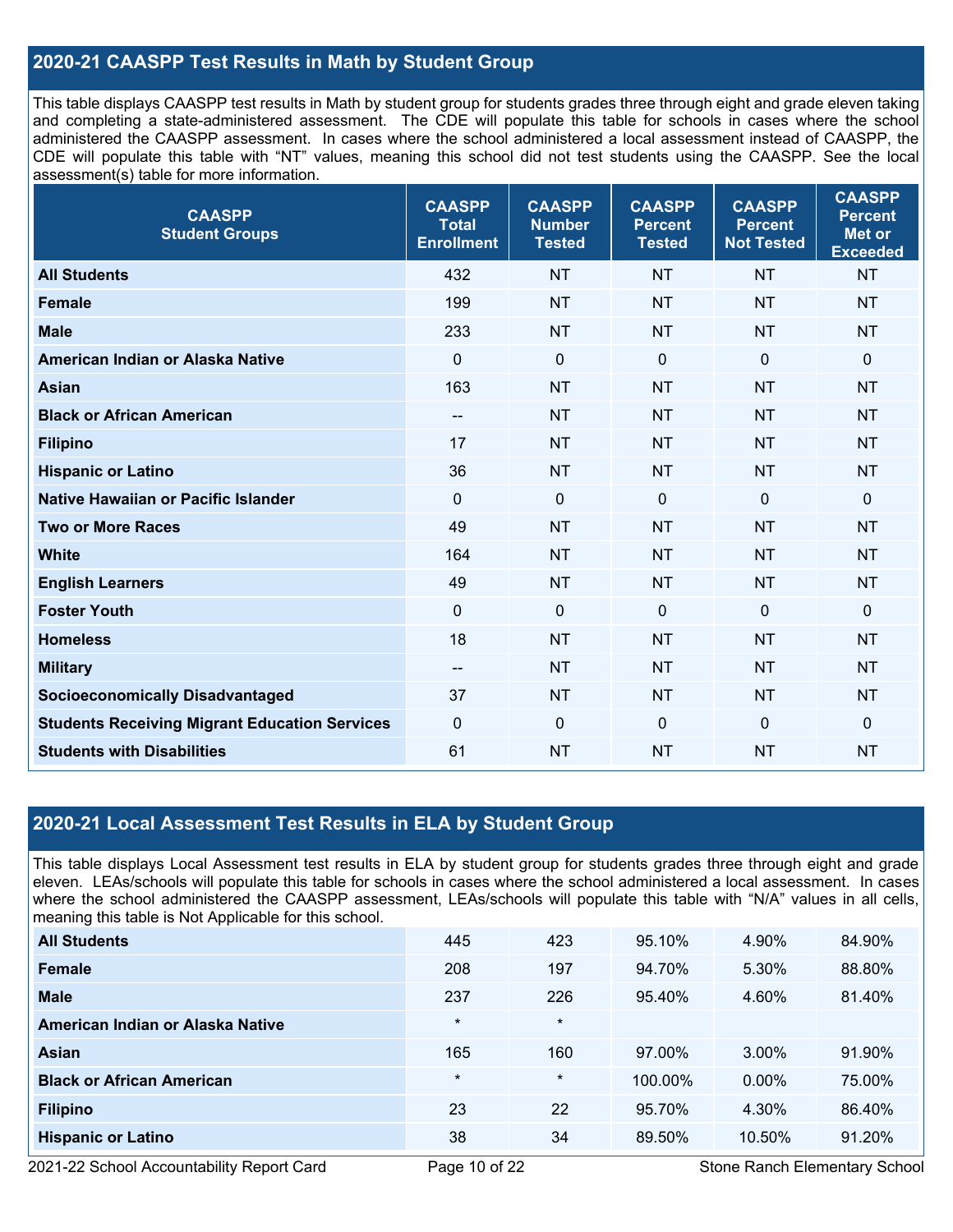### **2020-21 CAASPP Test Results in Math by Student Group**

This table displays CAASPP test results in Math by student group for students grades three through eight and grade eleven taking and completing a state-administered assessment. The CDE will populate this table for schools in cases where the school administered the CAASPP assessment. In cases where the school administered a local assessment instead of CAASPP, the CDE will populate this table with "NT" values, meaning this school did not test students using the CAASPP. See the local assessment(s) table for more information.

| <b>CAASPP</b><br><b>Student Groups</b>               | <b>CAASPP</b><br><b>Total</b><br><b>Enrollment</b> | <b>CAASPP</b><br><b>Number</b><br><b>Tested</b> | <b>CAASPP</b><br><b>Percent</b><br><b>Tested</b> | <b>CAASPP</b><br><b>Percent</b><br><b>Not Tested</b> | <b>CAASPP</b><br><b>Percent</b><br><b>Met or</b><br><b>Exceeded</b> |
|------------------------------------------------------|----------------------------------------------------|-------------------------------------------------|--------------------------------------------------|------------------------------------------------------|---------------------------------------------------------------------|
| <b>All Students</b>                                  | 432                                                | <b>NT</b>                                       | <b>NT</b>                                        | <b>NT</b>                                            | <b>NT</b>                                                           |
| <b>Female</b>                                        | 199                                                | <b>NT</b>                                       | <b>NT</b>                                        | <b>NT</b>                                            | <b>NT</b>                                                           |
| <b>Male</b>                                          | 233                                                | <b>NT</b>                                       | <b>NT</b>                                        | <b>NT</b>                                            | <b>NT</b>                                                           |
| American Indian or Alaska Native                     | $\mathbf 0$                                        | $\boldsymbol{0}$                                | $\mathbf 0$                                      | $\mathbf 0$                                          | $\mathbf 0$                                                         |
| <b>Asian</b>                                         | 163                                                | <b>NT</b>                                       | <b>NT</b>                                        | <b>NT</b>                                            | <b>NT</b>                                                           |
| <b>Black or African American</b>                     | $\overline{\phantom{a}}$                           | <b>NT</b>                                       | <b>NT</b>                                        | <b>NT</b>                                            | <b>NT</b>                                                           |
| <b>Filipino</b>                                      | 17                                                 | <b>NT</b>                                       | <b>NT</b>                                        | <b>NT</b>                                            | <b>NT</b>                                                           |
| <b>Hispanic or Latino</b>                            | 36                                                 | <b>NT</b>                                       | <b>NT</b>                                        | <b>NT</b>                                            | <b>NT</b>                                                           |
| <b>Native Hawaiian or Pacific Islander</b>           | $\mathbf 0$                                        | $\mathbf 0$                                     | $\mathbf 0$                                      | $\overline{0}$                                       | $\mathbf 0$                                                         |
| <b>Two or More Races</b>                             | 49                                                 | <b>NT</b>                                       | <b>NT</b>                                        | <b>NT</b>                                            | <b>NT</b>                                                           |
| <b>White</b>                                         | 164                                                | <b>NT</b>                                       | <b>NT</b>                                        | <b>NT</b>                                            | <b>NT</b>                                                           |
| <b>English Learners</b>                              | 49                                                 | <b>NT</b>                                       | <b>NT</b>                                        | <b>NT</b>                                            | <b>NT</b>                                                           |
| <b>Foster Youth</b>                                  | $\mathbf 0$                                        | $\mathbf 0$                                     | $\mathbf 0$                                      | $\mathbf{0}$                                         | $\Omega$                                                            |
| <b>Homeless</b>                                      | 18                                                 | <b>NT</b>                                       | <b>NT</b>                                        | <b>NT</b>                                            | <b>NT</b>                                                           |
| <b>Military</b>                                      | $\hspace{0.05cm}$ – $\hspace{0.05cm}$              | <b>NT</b>                                       | <b>NT</b>                                        | <b>NT</b>                                            | <b>NT</b>                                                           |
| <b>Socioeconomically Disadvantaged</b>               | 37                                                 | <b>NT</b>                                       | <b>NT</b>                                        | <b>NT</b>                                            | <b>NT</b>                                                           |
| <b>Students Receiving Migrant Education Services</b> | $\mathbf 0$                                        | $\mathbf 0$                                     | $\mathbf 0$                                      | $\overline{0}$                                       | $\mathbf 0$                                                         |
| <b>Students with Disabilities</b>                    | 61                                                 | <b>NT</b>                                       | <b>NT</b>                                        | <b>NT</b>                                            | <b>NT</b>                                                           |

### **2020-21 Local Assessment Test Results in ELA by Student Group**

This table displays Local Assessment test results in ELA by student group for students grades three through eight and grade eleven. LEAs/schools will populate this table for schools in cases where the school administered a local assessment. In cases where the school administered the CAASPP assessment, LEAs/schools will populate this table with "N/A" values in all cells, meaning this table is Not Applicable for this school.

| <b>All Students</b>              | 445     | 423     | 95.10%  | 4.90%    | 84.90% |
|----------------------------------|---------|---------|---------|----------|--------|
| Female                           | 208     | 197     | 94.70%  | 5.30%    | 88.80% |
| <b>Male</b>                      | 237     | 226     | 95.40%  | 4.60%    | 81.40% |
| American Indian or Alaska Native | $\star$ | $\star$ |         |          |        |
| Asian                            | 165     | 160     | 97.00%  | 3.00%    | 91.90% |
| <b>Black or African American</b> | $\star$ | $\ast$  | 100.00% | $0.00\%$ | 75.00% |
| <b>Filipino</b>                  | 23      | 22      | 95.70%  | 4.30%    | 86.40% |
| <b>Hispanic or Latino</b>        | 38      | 34      | 89.50%  | 10.50%   | 91.20% |

2021-22 School Accountability Report Card **Page 10 of 22** Stone Ranch Elementary School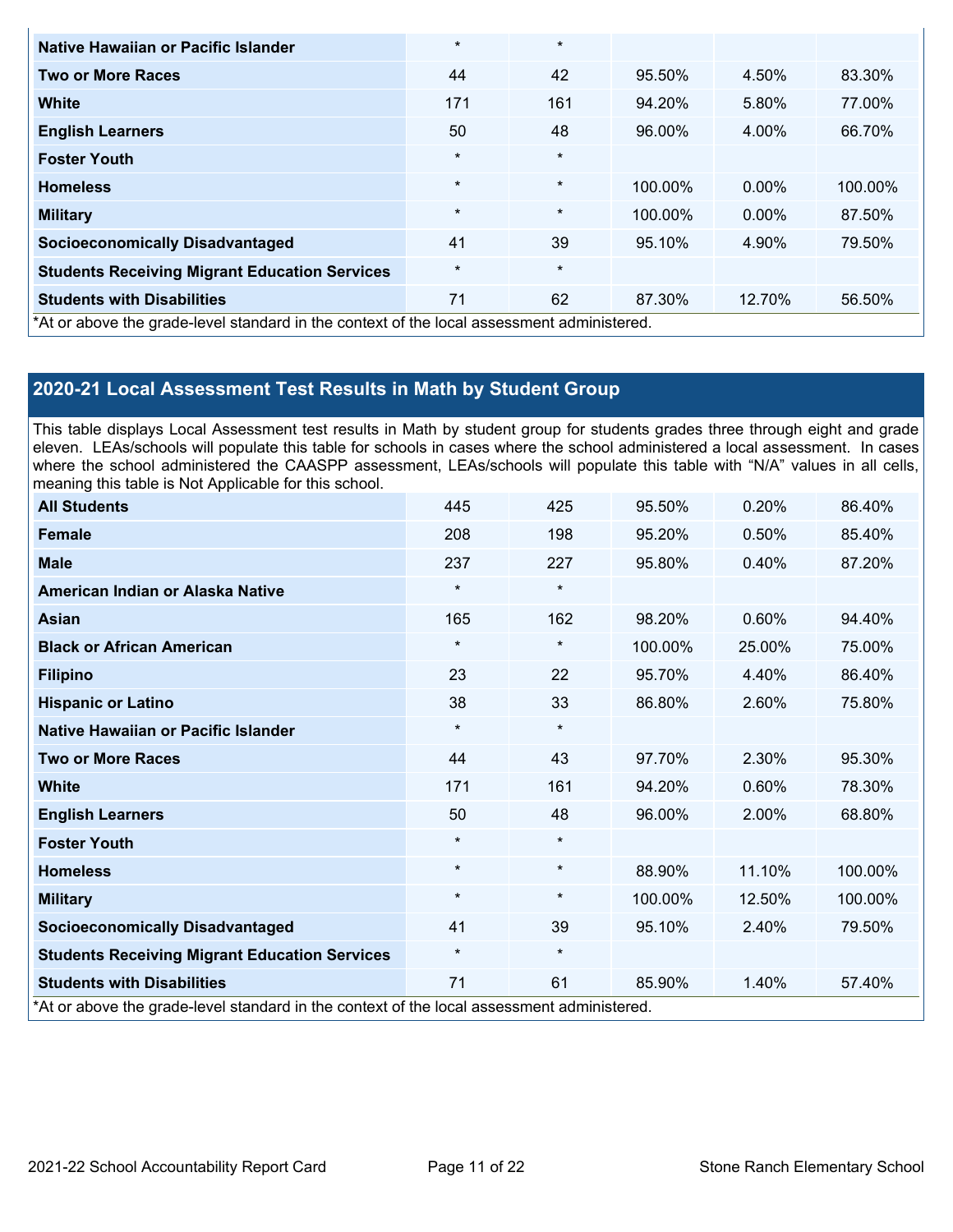| Native Hawaiian or Pacific Islander                                                        | $\star$ | $\star$ |         |          |         |
|--------------------------------------------------------------------------------------------|---------|---------|---------|----------|---------|
| <b>Two or More Races</b>                                                                   | 44      | 42      | 95.50%  | 4.50%    | 83.30%  |
| White                                                                                      | 171     | 161     | 94.20%  | 5.80%    | 77.00%  |
| <b>English Learners</b>                                                                    | 50      | 48      | 96.00%  | 4.00%    | 66.70%  |
| <b>Foster Youth</b>                                                                        | $\star$ | $\star$ |         |          |         |
| <b>Homeless</b>                                                                            | $\star$ | $\star$ | 100.00% | $0.00\%$ | 100.00% |
| <b>Military</b>                                                                            | $\star$ | $\star$ | 100.00% | $0.00\%$ | 87.50%  |
| <b>Socioeconomically Disadvantaged</b>                                                     | 41      | 39      | 95.10%  | 4.90%    | 79.50%  |
| <b>Students Receiving Migrant Education Services</b>                                       | $\star$ | $\star$ |         |          |         |
| <b>Students with Disabilities</b>                                                          | 71      | 62      | 87.30%  | 12.70%   | 56.50%  |
| *At or above the grade-level standard in the context of the local assessment administered. |         |         |         |          |         |

## **2020-21 Local Assessment Test Results in Math by Student Group**

This table displays Local Assessment test results in Math by student group for students grades three through eight and grade eleven. LEAs/schools will populate this table for schools in cases where the school administered a local assessment. In cases where the school administered the CAASPP assessment, LEAs/schools will populate this table with "N/A" values in all cells, meaning this table is Not Applicable for this school.

| <b>All Students</b>                                                                        | 445      | 425     | 95.50%  | 0.20%  | 86.40%  |
|--------------------------------------------------------------------------------------------|----------|---------|---------|--------|---------|
| <b>Female</b>                                                                              | 208      | 198     | 95.20%  | 0.50%  | 85.40%  |
| <b>Male</b>                                                                                | 237      | 227     | 95.80%  | 0.40%  | 87.20%  |
| American Indian or Alaska Native                                                           | $\star$  | $\star$ |         |        |         |
| <b>Asian</b>                                                                               | 165      | 162     | 98.20%  | 0.60%  | 94.40%  |
| <b>Black or African American</b>                                                           | $\star$  | $\star$ | 100.00% | 25.00% | 75.00%  |
| <b>Filipino</b>                                                                            | 23       | 22      | 95.70%  | 4.40%  | 86.40%  |
| <b>Hispanic or Latino</b>                                                                  | 38       | 33      | 86.80%  | 2.60%  | 75.80%  |
| Native Hawaiian or Pacific Islander                                                        | $\star$  | $\star$ |         |        |         |
| <b>Two or More Races</b>                                                                   | 44       | 43      | 97.70%  | 2.30%  | 95.30%  |
| <b>White</b>                                                                               | 171      | 161     | 94.20%  | 0.60%  | 78.30%  |
| <b>English Learners</b>                                                                    | 50       | 48      | 96.00%  | 2.00%  | 68.80%  |
| <b>Foster Youth</b>                                                                        | $\star$  | $\star$ |         |        |         |
| <b>Homeless</b>                                                                            | $\star$  | $\star$ | 88.90%  | 11.10% | 100.00% |
| <b>Military</b>                                                                            | $\star$  | $\star$ | 100.00% | 12.50% | 100.00% |
| <b>Socioeconomically Disadvantaged</b>                                                     | 41       | 39      | 95.10%  | 2.40%  | 79.50%  |
| <b>Students Receiving Migrant Education Services</b>                                       | $^\star$ | $\star$ |         |        |         |
| <b>Students with Disabilities</b>                                                          | 71       | 61      | 85.90%  | 1.40%  | 57.40%  |
| *At or above the grade-level standard in the context of the local assessment administered. |          |         |         |        |         |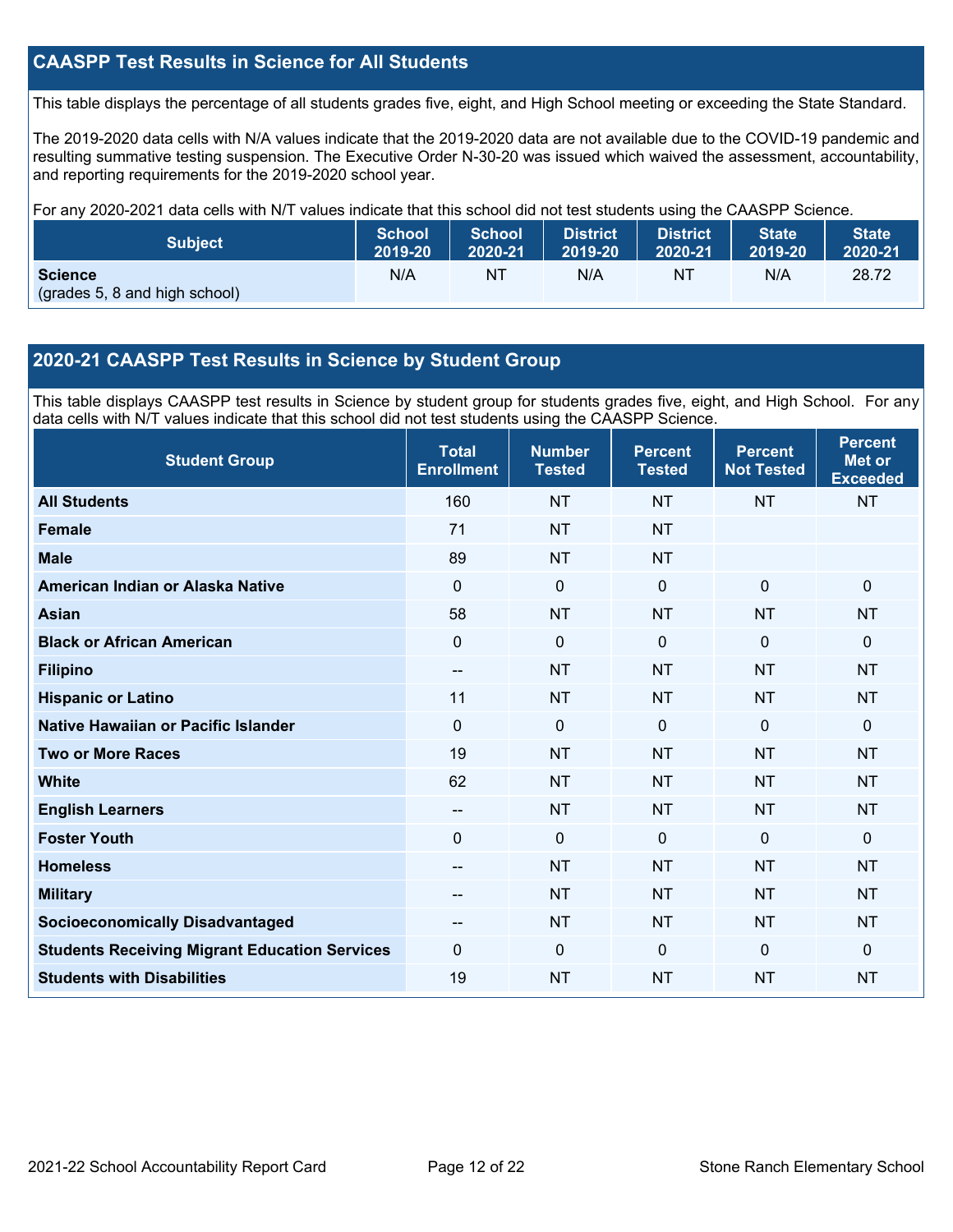### **CAASPP Test Results in Science for All Students**

This table displays the percentage of all students grades five, eight, and High School meeting or exceeding the State Standard.

The 2019-2020 data cells with N/A values indicate that the 2019-2020 data are not available due to the COVID-19 pandemic and resulting summative testing suspension. The Executive Order N-30-20 was issued which waived the assessment, accountability, and reporting requirements for the 2019-2020 school year.

For any 2020-2021 data cells with N/T values indicate that this school did not test students using the CAASPP Science.

| <b>Subject</b>                                  | <b>School</b> | School  | <b>District</b> | <b>District</b> | <b>State</b> | <b>State</b> |
|-------------------------------------------------|---------------|---------|-----------------|-----------------|--------------|--------------|
|                                                 | 2019-20       | 2020-21 | 2019-20         | 2020-21         | 2019-20      | 2020-21      |
| <b>Science</b><br>(grades 5, 8 and high school) | N/A           | ΝT      | N/A             | ΝT              | N/A          | 28.72        |

### **2020-21 CAASPP Test Results in Science by Student Group**

This table displays CAASPP test results in Science by student group for students grades five, eight, and High School. For any data cells with N/T values indicate that this school did not test students using the CAASPP Science.

| <b>Student Group</b>                                 | <b>Total</b><br><b>Enrollment</b> | <b>Number</b><br><b>Tested</b> | <b>Percent</b><br><b>Tested</b> | <b>Percent</b><br><b>Not Tested</b> | <b>Percent</b><br><b>Met or</b><br><b>Exceeded</b> |
|------------------------------------------------------|-----------------------------------|--------------------------------|---------------------------------|-------------------------------------|----------------------------------------------------|
| <b>All Students</b>                                  | 160                               | <b>NT</b>                      | <b>NT</b>                       | <b>NT</b>                           | <b>NT</b>                                          |
| Female                                               | 71                                | <b>NT</b>                      | <b>NT</b>                       |                                     |                                                    |
| <b>Male</b>                                          | 89                                | <b>NT</b>                      | <b>NT</b>                       |                                     |                                                    |
| American Indian or Alaska Native                     | $\Omega$                          | 0                              | $\mathbf{0}$                    | $\mathbf{0}$                        | $\mathbf 0$                                        |
| <b>Asian</b>                                         | 58                                | <b>NT</b>                      | <b>NT</b>                       | <b>NT</b>                           | <b>NT</b>                                          |
| <b>Black or African American</b>                     | 0                                 | $\boldsymbol{0}$               | $\mathbf{0}$                    | $\mathbf 0$                         | $\mathbf 0$                                        |
| <b>Filipino</b>                                      | --                                | <b>NT</b>                      | <b>NT</b>                       | <b>NT</b>                           | <b>NT</b>                                          |
| <b>Hispanic or Latino</b>                            | 11                                | <b>NT</b>                      | <b>NT</b>                       | <b>NT</b>                           | <b>NT</b>                                          |
| Native Hawaiian or Pacific Islander                  | $\overline{0}$                    | $\mathbf 0$                    | $\mathbf{0}$                    | $\mathbf 0$                         | $\mathbf 0$                                        |
| <b>Two or More Races</b>                             | 19                                | <b>NT</b>                      | <b>NT</b>                       | <b>NT</b>                           | <b>NT</b>                                          |
| <b>White</b>                                         | 62                                | <b>NT</b>                      | <b>NT</b>                       | <b>NT</b>                           | <b>NT</b>                                          |
| <b>English Learners</b>                              | --                                | <b>NT</b>                      | <b>NT</b>                       | <b>NT</b>                           | <b>NT</b>                                          |
| <b>Foster Youth</b>                                  | 0                                 | $\mathbf 0$                    | $\mathbf 0$                     | $\mathbf 0$                         | $\mathbf 0$                                        |
| <b>Homeless</b>                                      | $-$                               | <b>NT</b>                      | <b>NT</b>                       | <b>NT</b>                           | <b>NT</b>                                          |
| <b>Military</b>                                      | --                                | <b>NT</b>                      | <b>NT</b>                       | <b>NT</b>                           | <b>NT</b>                                          |
| <b>Socioeconomically Disadvantaged</b>               |                                   | <b>NT</b>                      | <b>NT</b>                       | <b>NT</b>                           | <b>NT</b>                                          |
| <b>Students Receiving Migrant Education Services</b> | $\Omega$                          | 0                              | $\Omega$                        | $\Omega$                            | $\mathbf 0$                                        |
| <b>Students with Disabilities</b>                    | 19                                | <b>NT</b>                      | <b>NT</b>                       | <b>NT</b>                           | <b>NT</b>                                          |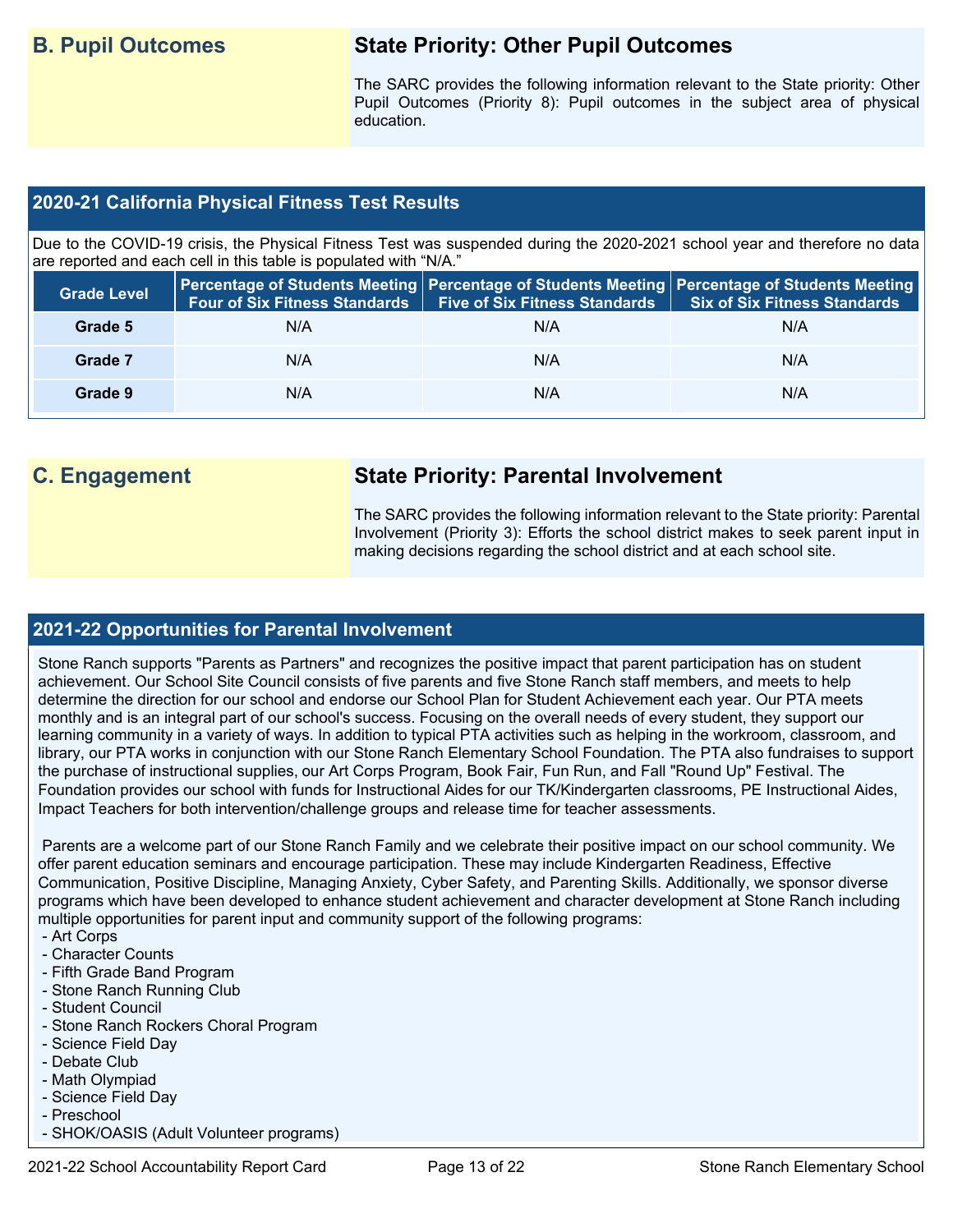## **B. Pupil Outcomes State Priority: Other Pupil Outcomes**

The SARC provides the following information relevant to the State priority: Other Pupil Outcomes (Priority 8): Pupil outcomes in the subject area of physical education.

### **2020-21 California Physical Fitness Test Results**

Due to the COVID-19 crisis, the Physical Fitness Test was suspended during the 2020-2021 school year and therefore no data are reported and each cell in this table is populated with "N/A."

| <b>Grade Level</b> | <b>Four of Six Fitness Standards</b> | Five of Six Fitness Standards   Six of Six Fitness Standards | Percentage of Students Meeting   Percentage of Students Meeting   Percentage of Students Meeting |
|--------------------|--------------------------------------|--------------------------------------------------------------|--------------------------------------------------------------------------------------------------|
| Grade 5            | N/A                                  | N/A                                                          | N/A                                                                                              |
| Grade 7            | N/A                                  | N/A                                                          | N/A                                                                                              |
| Grade 9            | N/A                                  | N/A                                                          | N/A                                                                                              |

## **C. Engagement State Priority: Parental Involvement**

The SARC provides the following information relevant to the State priority: Parental Involvement (Priority 3): Efforts the school district makes to seek parent input in making decisions regarding the school district and at each school site.

### **2021-22 Opportunities for Parental Involvement**

Stone Ranch supports "Parents as Partners" and recognizes the positive impact that parent participation has on student achievement. Our School Site Council consists of five parents and five Stone Ranch staff members, and meets to help determine the direction for our school and endorse our School Plan for Student Achievement each year. Our PTA meets monthly and is an integral part of our school's success. Focusing on the overall needs of every student, they support our learning community in a variety of ways. In addition to typical PTA activities such as helping in the workroom, classroom, and library, our PTA works in conjunction with our Stone Ranch Elementary School Foundation. The PTA also fundraises to support the purchase of instructional supplies, our Art Corps Program, Book Fair, Fun Run, and Fall "Round Up" Festival. The Foundation provides our school with funds for Instructional Aides for our TK/Kindergarten classrooms, PE Instructional Aides, Impact Teachers for both intervention/challenge groups and release time for teacher assessments.

Parents are a welcome part of our Stone Ranch Family and we celebrate their positive impact on our school community. We offer parent education seminars and encourage participation. These may include Kindergarten Readiness, Effective Communication, Positive Discipline, Managing Anxiety, Cyber Safety, and Parenting Skills. Additionally, we sponsor diverse programs which have been developed to enhance student achievement and character development at Stone Ranch including multiple opportunities for parent input and community support of the following programs:

- Art Corps
- Character Counts
- Fifth Grade Band Program
- Stone Ranch Running Club
- Student Council
- Stone Ranch Rockers Choral Program
- Science Field Day
- Debate Club
- Math Olympiad
- Science Field Day
- Preschool
- SHOK/OASIS (Adult Volunteer programs)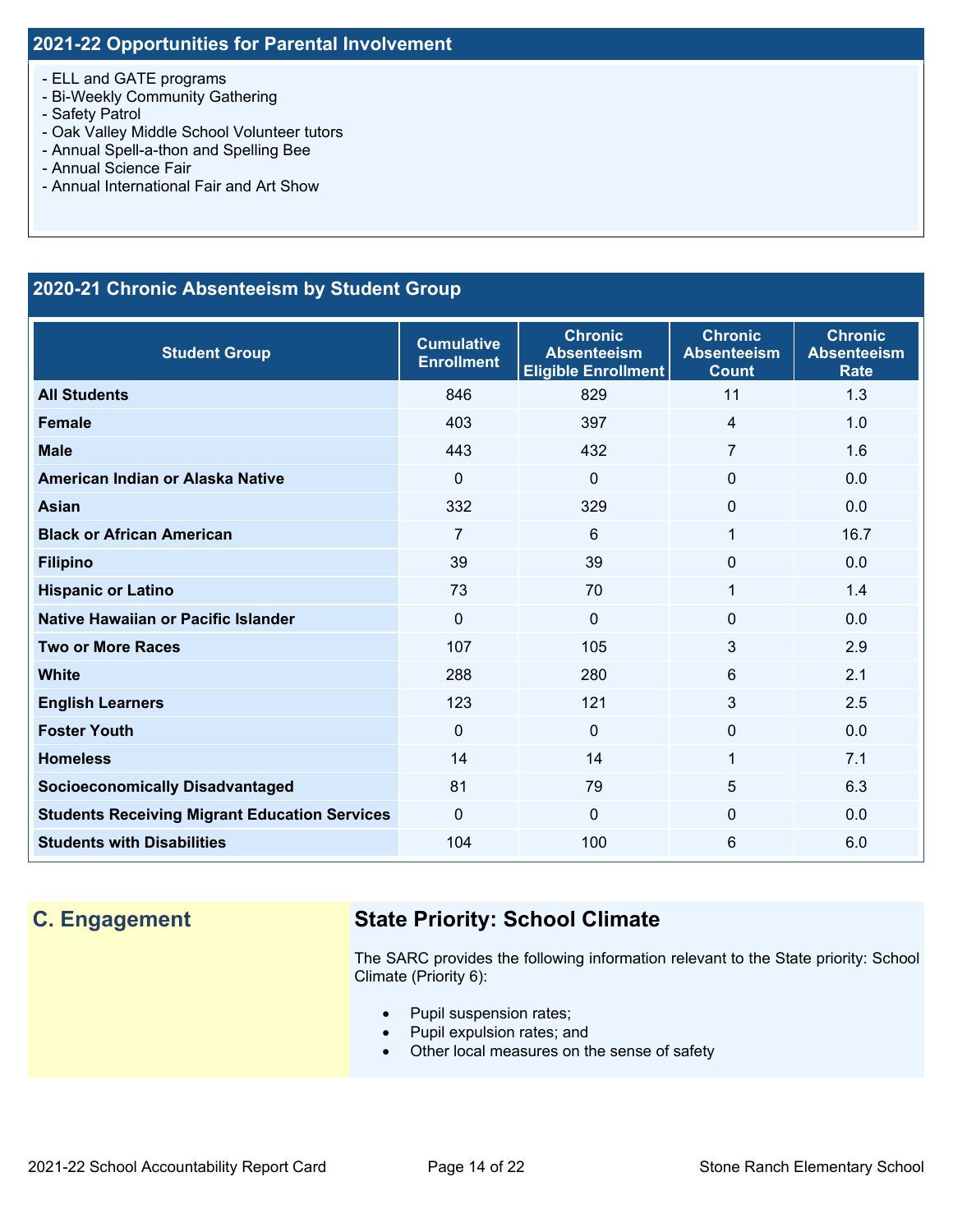- ELL and GATE programs
- Bi-Weekly Community Gathering
- Safety Patrol
- Oak Valley Middle School Volunteer tutors
- Annual Spell-a-thon and Spelling Bee
- Annual Science Fair
- Annual International Fair and Art Show

### **2020-21 Chronic Absenteeism by Student Group**

| <b>Student Group</b>                                 | <b>Cumulative</b><br><b>Enrollment</b> | <b>Chronic</b><br><b>Absenteeism</b><br><b>Eligible Enrollment</b> | <b>Chronic</b><br><b>Absenteeism</b><br><b>Count</b> | <b>Chronic</b><br><b>Absenteeism</b><br><b>Rate</b> |
|------------------------------------------------------|----------------------------------------|--------------------------------------------------------------------|------------------------------------------------------|-----------------------------------------------------|
| <b>All Students</b>                                  | 846                                    | 829                                                                | 11                                                   | 1.3                                                 |
| <b>Female</b>                                        | 403                                    | 397                                                                | $\overline{4}$                                       | 1.0                                                 |
| <b>Male</b>                                          | 443                                    | 432                                                                | 7                                                    | 1.6                                                 |
| American Indian or Alaska Native                     | $\Omega$                               | $\mathbf 0$                                                        | $\mathbf{0}$                                         | 0.0                                                 |
| <b>Asian</b>                                         | 332                                    | 329                                                                | $\mathbf{0}$                                         | 0.0                                                 |
| <b>Black or African American</b>                     | 7                                      | 6                                                                  | 1                                                    | 16.7                                                |
| <b>Filipino</b>                                      | 39                                     | 39                                                                 | $\mathbf{0}$                                         | 0.0                                                 |
| <b>Hispanic or Latino</b>                            | 73                                     | 70                                                                 | $\mathbf{1}$                                         | 1.4                                                 |
| Native Hawaiian or Pacific Islander                  | $\mathbf{0}$                           | $\overline{0}$                                                     | $\mathbf{0}$                                         | 0.0                                                 |
| <b>Two or More Races</b>                             | 107                                    | 105                                                                | 3                                                    | 2.9                                                 |
| <b>White</b>                                         | 288                                    | 280                                                                | $6\phantom{1}6$                                      | 2.1                                                 |
| <b>English Learners</b>                              | 123                                    | 121                                                                | 3                                                    | 2.5                                                 |
| <b>Foster Youth</b>                                  | $\Omega$                               | $\mathbf 0$                                                        | $\mathbf{0}$                                         | 0.0                                                 |
| <b>Homeless</b>                                      | 14                                     | 14                                                                 | $\mathbf{1}$                                         | 7.1                                                 |
| <b>Socioeconomically Disadvantaged</b>               | 81                                     | 79                                                                 | 5                                                    | 6.3                                                 |
| <b>Students Receiving Migrant Education Services</b> | $\Omega$                               | $\Omega$                                                           | $\Omega$                                             | 0.0                                                 |
| <b>Students with Disabilities</b>                    | 104                                    | 100                                                                | 6                                                    | 6.0                                                 |

## **C. Engagement State Priority: School Climate**

The SARC provides the following information relevant to the State priority: School Climate (Priority 6):

- Pupil suspension rates;
- Pupil expulsion rates; and
- Other local measures on the sense of safety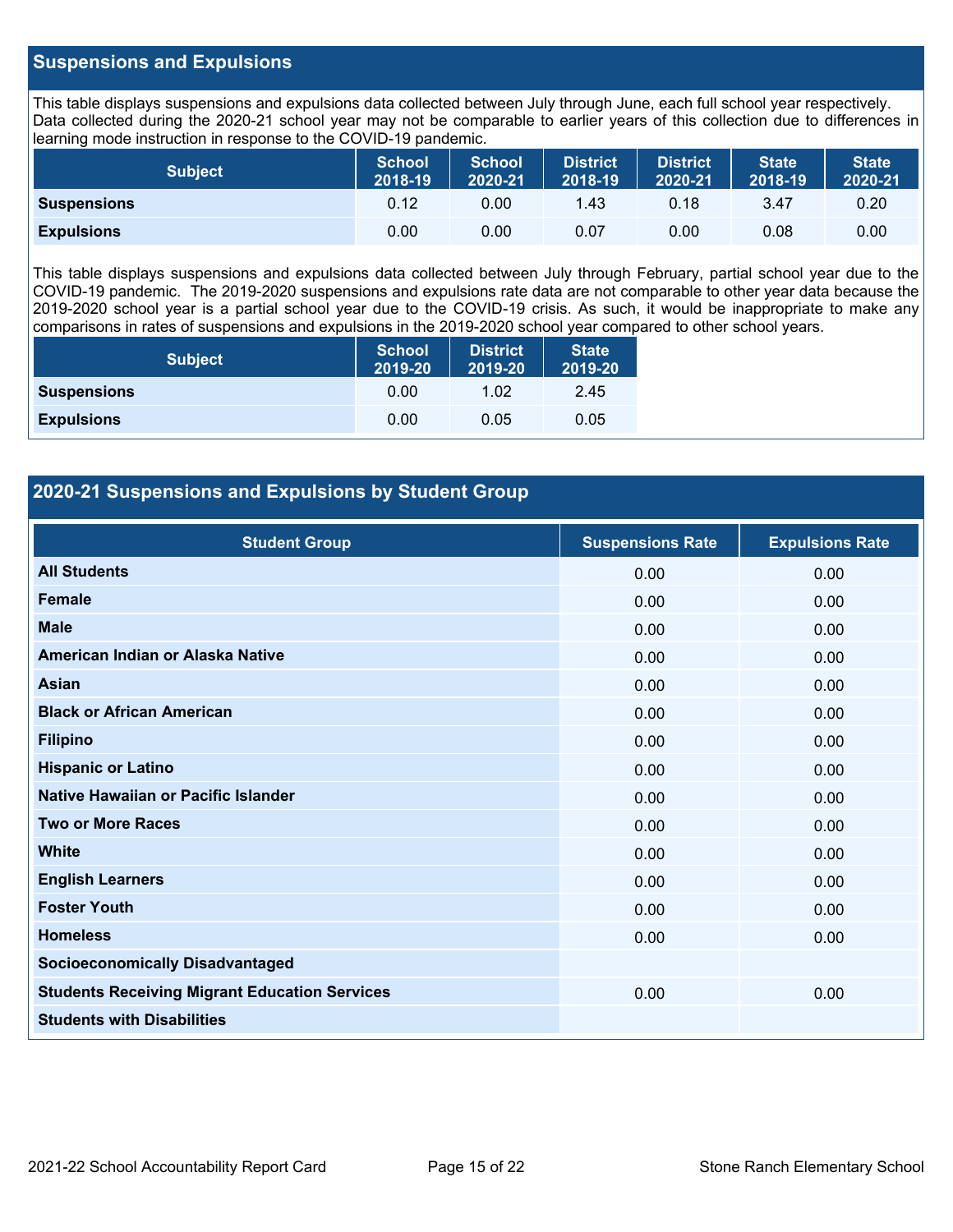### **Suspensions and Expulsions**

This table displays suspensions and expulsions data collected between July through June, each full school year respectively. Data collected during the 2020-21 school year may not be comparable to earlier years of this collection due to differences in learning mode instruction in response to the COVID-19 pandemic.

| <b>Subject</b>     | <b>School</b><br>2018-19 | <b>School</b><br>2020-21 | <b>District</b><br>2018-19 | District<br>2020-21 | <b>State</b><br>2018-19 | <b>State</b><br>2020-21 |
|--------------------|--------------------------|--------------------------|----------------------------|---------------------|-------------------------|-------------------------|
| <b>Suspensions</b> | 0.12                     | 0.00                     | 1.43                       | 0.18                | 3.47                    | 0.20                    |
| <b>Expulsions</b>  | 0.00                     | 0.00                     | 0.07                       | 0.00                | 0.08                    | 0.00                    |

This table displays suspensions and expulsions data collected between July through February, partial school year due to the COVID-19 pandemic. The 2019-2020 suspensions and expulsions rate data are not comparable to other year data because the 2019-2020 school year is a partial school year due to the COVID-19 crisis. As such, it would be inappropriate to make any comparisons in rates of suspensions and expulsions in the 2019-2020 school year compared to other school years.

| <b>Subject</b>     | <b>School</b><br>2019-20 | <b>District</b><br>2019-20 | <b>State</b><br>2019-20 |
|--------------------|--------------------------|----------------------------|-------------------------|
| <b>Suspensions</b> | 0.00                     | 1.02                       | 2.45                    |
| <b>Expulsions</b>  | 0.00                     | 0.05                       | 0.05                    |

### **2020-21 Suspensions and Expulsions by Student Group**

| <b>Student Group</b>                                 | <b>Suspensions Rate</b> | <b>Expulsions Rate</b> |
|------------------------------------------------------|-------------------------|------------------------|
| <b>All Students</b>                                  | 0.00                    | 0.00                   |
| <b>Female</b>                                        | 0.00                    | 0.00                   |
| <b>Male</b>                                          | 0.00                    | 0.00                   |
| American Indian or Alaska Native                     | 0.00                    | 0.00                   |
| Asian                                                | 0.00                    | 0.00                   |
| <b>Black or African American</b>                     | 0.00                    | 0.00                   |
| <b>Filipino</b>                                      | 0.00                    | 0.00                   |
| <b>Hispanic or Latino</b>                            | 0.00                    | 0.00                   |
| Native Hawaiian or Pacific Islander                  | 0.00                    | 0.00                   |
| <b>Two or More Races</b>                             | 0.00                    | 0.00                   |
| <b>White</b>                                         | 0.00                    | 0.00                   |
| <b>English Learners</b>                              | 0.00                    | 0.00                   |
| <b>Foster Youth</b>                                  | 0.00                    | 0.00                   |
| <b>Homeless</b>                                      | 0.00                    | 0.00                   |
| <b>Socioeconomically Disadvantaged</b>               |                         |                        |
| <b>Students Receiving Migrant Education Services</b> | 0.00                    | 0.00                   |
| <b>Students with Disabilities</b>                    |                         |                        |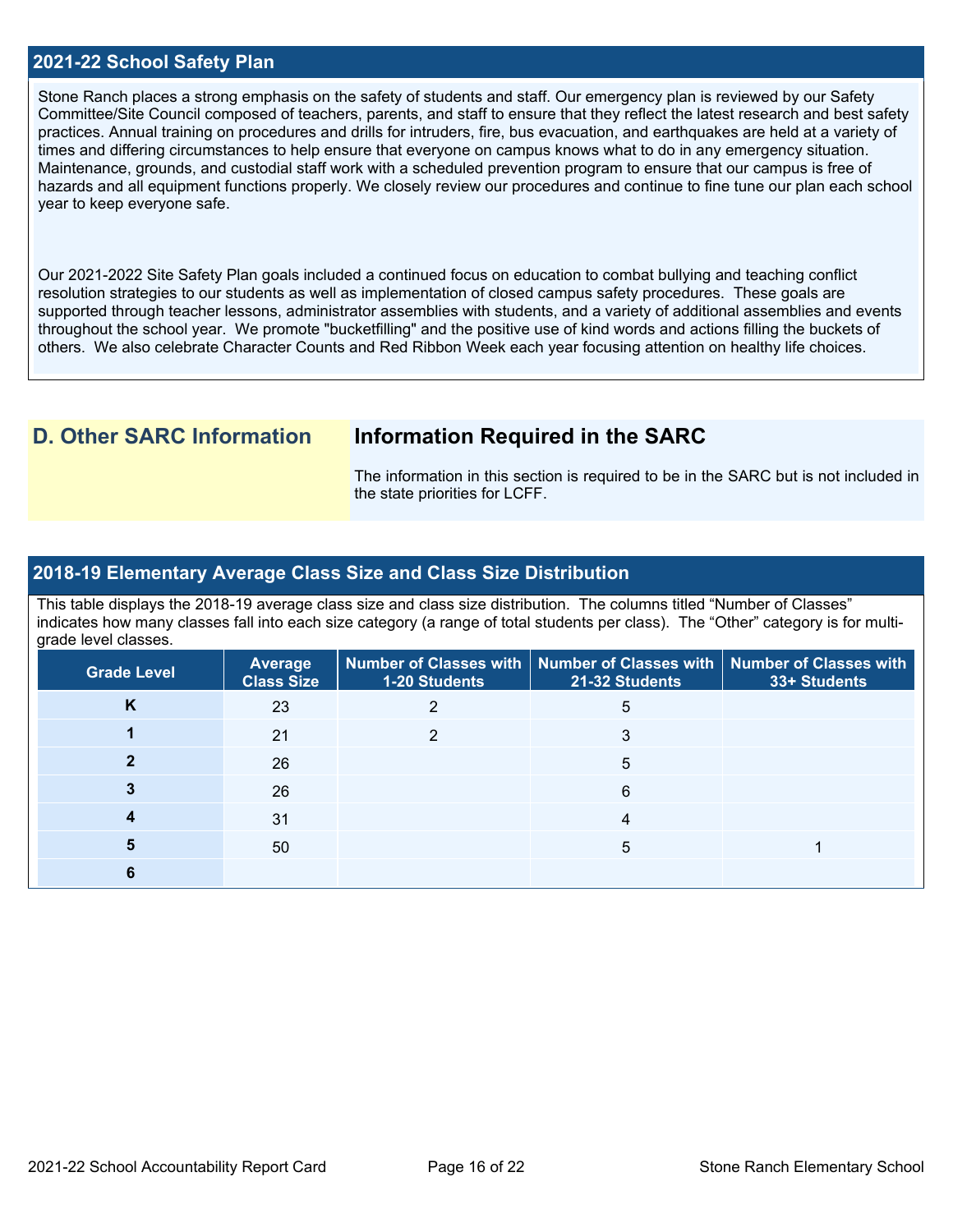### **2021-22 School Safety Plan**

Stone Ranch places a strong emphasis on the safety of students and staff. Our emergency plan is reviewed by our Safety Committee/Site Council composed of teachers, parents, and staff to ensure that they reflect the latest research and best safety practices. Annual training on procedures and drills for intruders, fire, bus evacuation, and earthquakes are held at a variety of times and differing circumstances to help ensure that everyone on campus knows what to do in any emergency situation. Maintenance, grounds, and custodial staff work with a scheduled prevention program to ensure that our campus is free of hazards and all equipment functions properly. We closely review our procedures and continue to fine tune our plan each school year to keep everyone safe.

Our 2021-2022 Site Safety Plan goals included a continued focus on education to combat bullying and teaching conflict resolution strategies to our students as well as implementation of closed campus safety procedures. These goals are supported through teacher lessons, administrator assemblies with students, and a variety of additional assemblies and events throughout the school year. We promote "bucketfilling" and the positive use of kind words and actions filling the buckets of others. We also celebrate Character Counts and Red Ribbon Week each year focusing attention on healthy life choices.

### **D. Other SARC Information Information Required in the SARC**

The information in this section is required to be in the SARC but is not included in the state priorities for LCFF.

### **2018-19 Elementary Average Class Size and Class Size Distribution**

This table displays the 2018-19 average class size and class size distribution. The columns titled "Number of Classes" indicates how many classes fall into each size category (a range of total students per class). The "Other" category is for multigrade level classes.

| <b>Grade Level</b> | <b>Average</b><br><b>Class Size</b> | 1-20 Students | Number of Classes with   Number of Classes with   Number of Classes with<br>21-32 Students | 33+ Students |
|--------------------|-------------------------------------|---------------|--------------------------------------------------------------------------------------------|--------------|
| K                  | 23                                  |               | 5                                                                                          |              |
|                    | 21                                  |               | 3                                                                                          |              |
|                    | 26                                  |               | 5                                                                                          |              |
|                    | 26                                  |               | 6                                                                                          |              |
|                    | 31                                  |               |                                                                                            |              |
|                    | 50                                  |               | 5                                                                                          |              |
|                    |                                     |               |                                                                                            |              |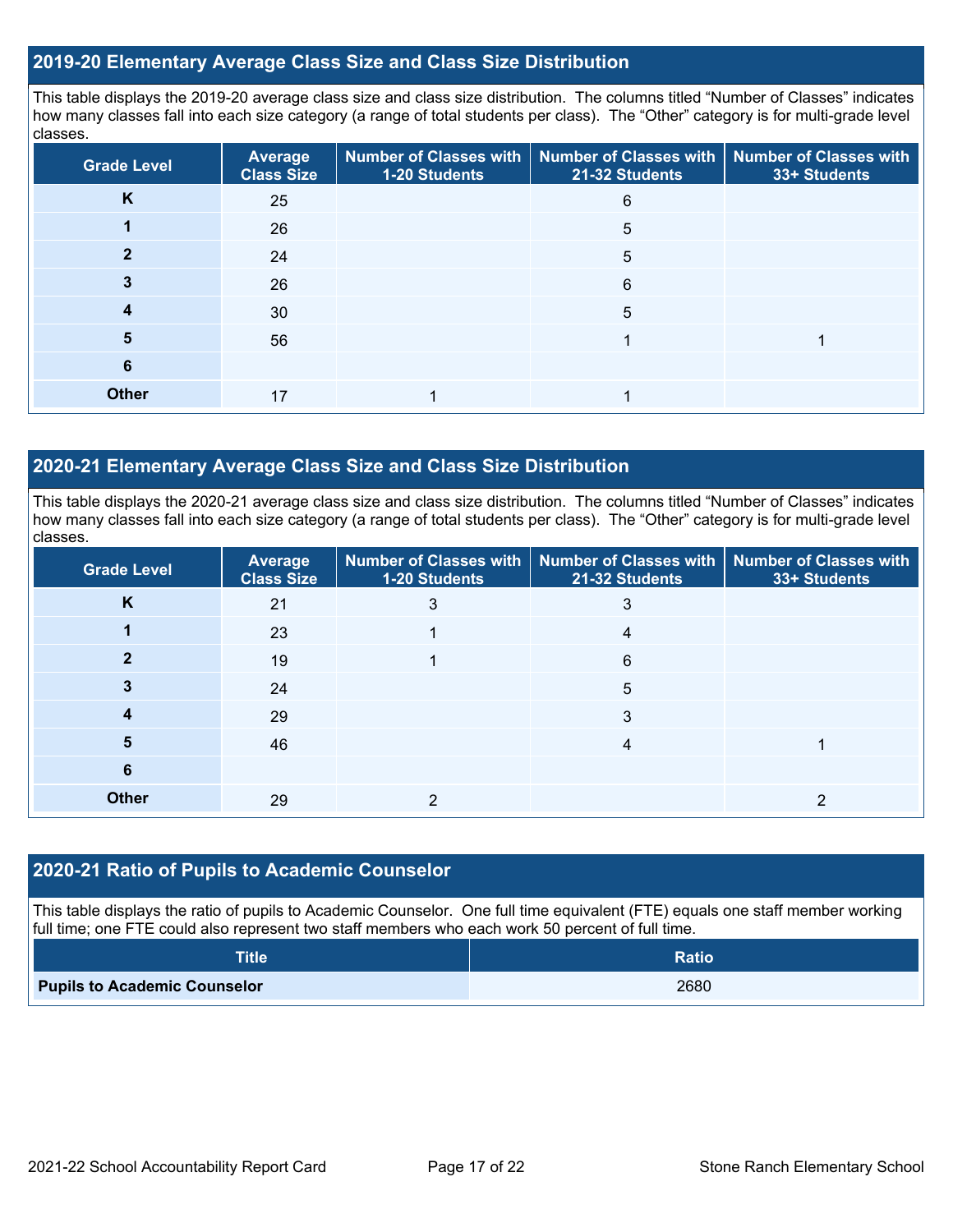### **2019-20 Elementary Average Class Size and Class Size Distribution**

This table displays the 2019-20 average class size and class size distribution. The columns titled "Number of Classes" indicates how many classes fall into each size category (a range of total students per class). The "Other" category is for multi-grade level classes.

| <b>Grade Level</b> | <b>Average</b><br><b>Class Size</b> | 1-20 Students | Number of Classes with   Number of Classes with  <br>21-32 Students | <b>Number of Classes with</b><br>33+ Students |
|--------------------|-------------------------------------|---------------|---------------------------------------------------------------------|-----------------------------------------------|
| K                  | 25                                  |               | 6                                                                   |                                               |
|                    | 26                                  |               | 5                                                                   |                                               |
|                    | 24                                  |               | 5                                                                   |                                               |
|                    | 26                                  |               | 6                                                                   |                                               |
|                    | 30                                  |               | 5                                                                   |                                               |
| 5                  | 56                                  |               |                                                                     |                                               |
| 6                  |                                     |               |                                                                     |                                               |
| <b>Other</b>       | 17                                  |               |                                                                     |                                               |

### **2020-21 Elementary Average Class Size and Class Size Distribution**

This table displays the 2020-21 average class size and class size distribution. The columns titled "Number of Classes" indicates how many classes fall into each size category (a range of total students per class). The "Other" category is for multi-grade level classes.

| <b>Grade Level</b> | <b>Average</b><br><b>Class Size</b> | 1-20 Students | Number of Classes with   Number of Classes with   Number of Classes with<br>21-32 Students | 33+ Students |
|--------------------|-------------------------------------|---------------|--------------------------------------------------------------------------------------------|--------------|
| K                  | 21                                  | 3             | 3                                                                                          |              |
|                    | 23                                  |               | 4                                                                                          |              |
|                    | 19                                  |               | 6                                                                                          |              |
|                    | 24                                  |               | 5                                                                                          |              |
|                    | 29                                  |               | 3                                                                                          |              |
| J)                 | 46                                  |               |                                                                                            |              |
| 6                  |                                     |               |                                                                                            |              |
| <b>Other</b>       | 29                                  |               |                                                                                            |              |

### **2020-21 Ratio of Pupils to Academic Counselor**

This table displays the ratio of pupils to Academic Counselor. One full time equivalent (FTE) equals one staff member working full time; one FTE could also represent two staff members who each work 50 percent of full time.

| <b>Title</b>                        | <b>Ratio</b> |
|-------------------------------------|--------------|
| <b>Pupils to Academic Counselor</b> | 2680         |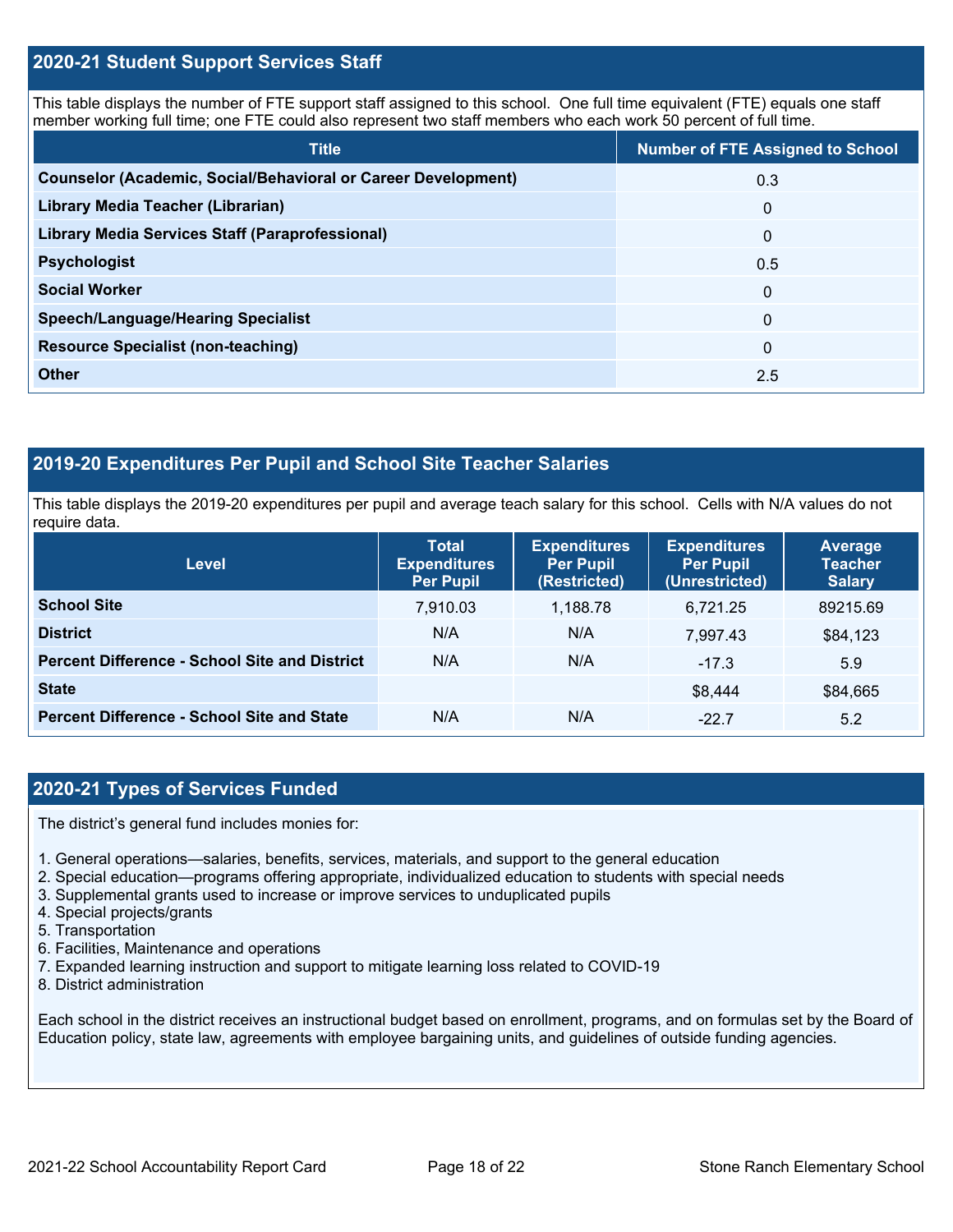### **2020-21 Student Support Services Staff**

This table displays the number of FTE support staff assigned to this school. One full time equivalent (FTE) equals one staff member working full time; one FTE could also represent two staff members who each work 50 percent of full time.

| <b>Title</b>                                                         | <b>Number of FTE Assigned to School</b> |
|----------------------------------------------------------------------|-----------------------------------------|
| <b>Counselor (Academic, Social/Behavioral or Career Development)</b> | 0.3                                     |
| Library Media Teacher (Librarian)                                    | $\mathbf{0}$                            |
| <b>Library Media Services Staff (Paraprofessional)</b>               | $\mathbf{0}$                            |
| <b>Psychologist</b>                                                  | 0.5                                     |
| <b>Social Worker</b>                                                 | $\mathbf{0}$                            |
| <b>Speech/Language/Hearing Specialist</b>                            | $\Omega$                                |
| <b>Resource Specialist (non-teaching)</b>                            | $\mathbf{0}$                            |
| <b>Other</b>                                                         | 2.5                                     |

### **2019-20 Expenditures Per Pupil and School Site Teacher Salaries**

This table displays the 2019-20 expenditures per pupil and average teach salary for this school. Cells with N/A values do not require data.

| <b>Level</b>                                         | <b>Total</b><br><b>Expenditures</b><br><b>Per Pupil</b> | <b>Expenditures</b><br><b>Per Pupil</b><br>(Restricted) | <b>Expenditures</b><br><b>Per Pupil</b><br>(Unrestricted) | Average<br><b>Teacher</b><br><b>Salary</b> |
|------------------------------------------------------|---------------------------------------------------------|---------------------------------------------------------|-----------------------------------------------------------|--------------------------------------------|
| <b>School Site</b>                                   | 7,910.03                                                | 1,188.78                                                | 6,721.25                                                  | 89215.69                                   |
| <b>District</b>                                      | N/A                                                     | N/A                                                     | 7.997.43                                                  | \$84,123                                   |
| <b>Percent Difference - School Site and District</b> | N/A                                                     | N/A                                                     | $-17.3$                                                   | 5.9                                        |
| <b>State</b>                                         |                                                         |                                                         | \$8,444                                                   | \$84,665                                   |
| <b>Percent Difference - School Site and State</b>    | N/A                                                     | N/A                                                     | $-22.7$                                                   | 5.2                                        |

### **2020-21 Types of Services Funded**

The district's general fund includes monies for:

- 1. General operations—salaries, benefits, services, materials, and support to the general education
- 2. Special education—programs offering appropriate, individualized education to students with special needs
- 3. Supplemental grants used to increase or improve services to unduplicated pupils
- 4. Special projects/grants
- 5. Transportation
- 6. Facilities, Maintenance and operations
- 7. Expanded learning instruction and support to mitigate learning loss related to COVID-19
- 8. District administration

Each school in the district receives an instructional budget based on enrollment, programs, and on formulas set by the Board of Education policy, state law, agreements with employee bargaining units, and guidelines of outside funding agencies.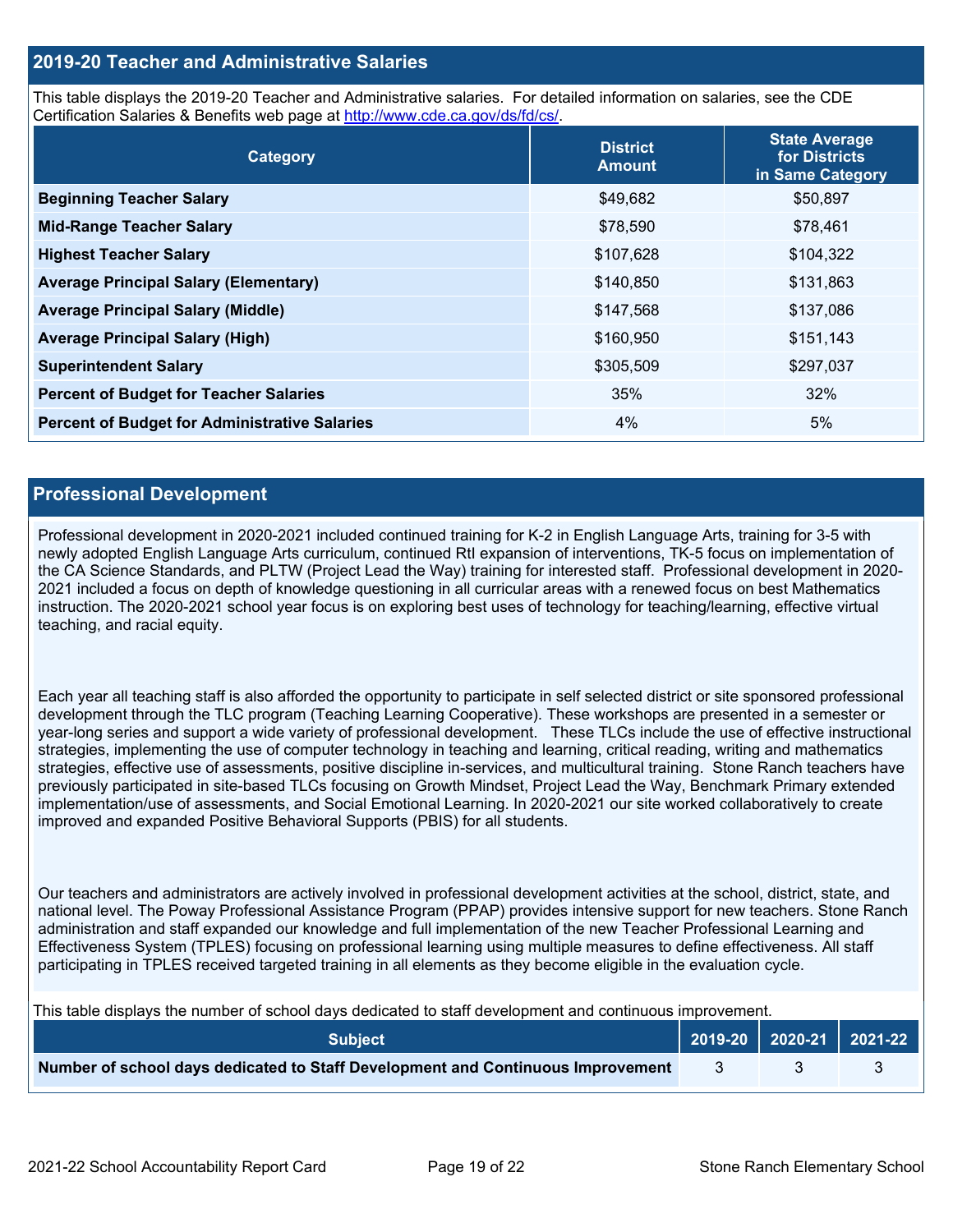### **2019-20 Teacher and Administrative Salaries**

This table displays the 2019-20 Teacher and Administrative salaries. For detailed information on salaries, see the CDE Certification Salaries & Benefits web page at [http://www.cde.ca.gov/ds/fd/cs/.](http://www.cde.ca.gov/ds/fd/cs/)

| Category                                             | <b>District</b><br><b>Amount</b> | <b>State Average</b><br>for Districts<br>in Same Category |
|------------------------------------------------------|----------------------------------|-----------------------------------------------------------|
| <b>Beginning Teacher Salary</b>                      | \$49,682                         | \$50,897                                                  |
| <b>Mid-Range Teacher Salary</b>                      | \$78,590                         | \$78,461                                                  |
| <b>Highest Teacher Salary</b>                        | \$107,628                        | \$104,322                                                 |
| <b>Average Principal Salary (Elementary)</b>         | \$140,850                        | \$131,863                                                 |
| <b>Average Principal Salary (Middle)</b>             | \$147,568                        | \$137,086                                                 |
| <b>Average Principal Salary (High)</b>               | \$160,950                        | \$151,143                                                 |
| <b>Superintendent Salary</b>                         | \$305,509                        | \$297,037                                                 |
| <b>Percent of Budget for Teacher Salaries</b>        | 35%                              | 32%                                                       |
| <b>Percent of Budget for Administrative Salaries</b> | 4%                               | 5%                                                        |

### **Professional Development**

Professional development in 2020-2021 included continued training for K-2 in English Language Arts, training for 3-5 with newly adopted English Language Arts curriculum, continued RtI expansion of interventions, TK-5 focus on implementation of the CA Science Standards, and PLTW (Project Lead the Way) training for interested staff. Professional development in 2020- 2021 included a focus on depth of knowledge questioning in all curricular areas with a renewed focus on best Mathematics instruction. The 2020-2021 school year focus is on exploring best uses of technology for teaching/learning, effective virtual teaching, and racial equity.

Each year all teaching staff is also afforded the opportunity to participate in self selected district or site sponsored professional development through the TLC program (Teaching Learning Cooperative). These workshops are presented in a semester or year-long series and support a wide variety of professional development. These TLCs include the use of effective instructional strategies, implementing the use of computer technology in teaching and learning, critical reading, writing and mathematics strategies, effective use of assessments, positive discipline in-services, and multicultural training. Stone Ranch teachers have previously participated in site-based TLCs focusing on Growth Mindset, Project Lead the Way, Benchmark Primary extended implementation/use of assessments, and Social Emotional Learning. In 2020-2021 our site worked collaboratively to create improved and expanded Positive Behavioral Supports (PBIS) for all students.

Our teachers and administrators are actively involved in professional development activities at the school, district, state, and national level. The Poway Professional Assistance Program (PPAP) provides intensive support for new teachers. Stone Ranch administration and staff expanded our knowledge and full implementation of the new Teacher Professional Learning and Effectiveness System (TPLES) focusing on professional learning using multiple measures to define effectiveness. All staff participating in TPLES received targeted training in all elements as they become eligible in the evaluation cycle.

| <b>Subiect</b>                                                                  | 2019-20   2020-21   2021-22 |  |
|---------------------------------------------------------------------------------|-----------------------------|--|
| Number of school days dedicated to Staff Development and Continuous Improvement |                             |  |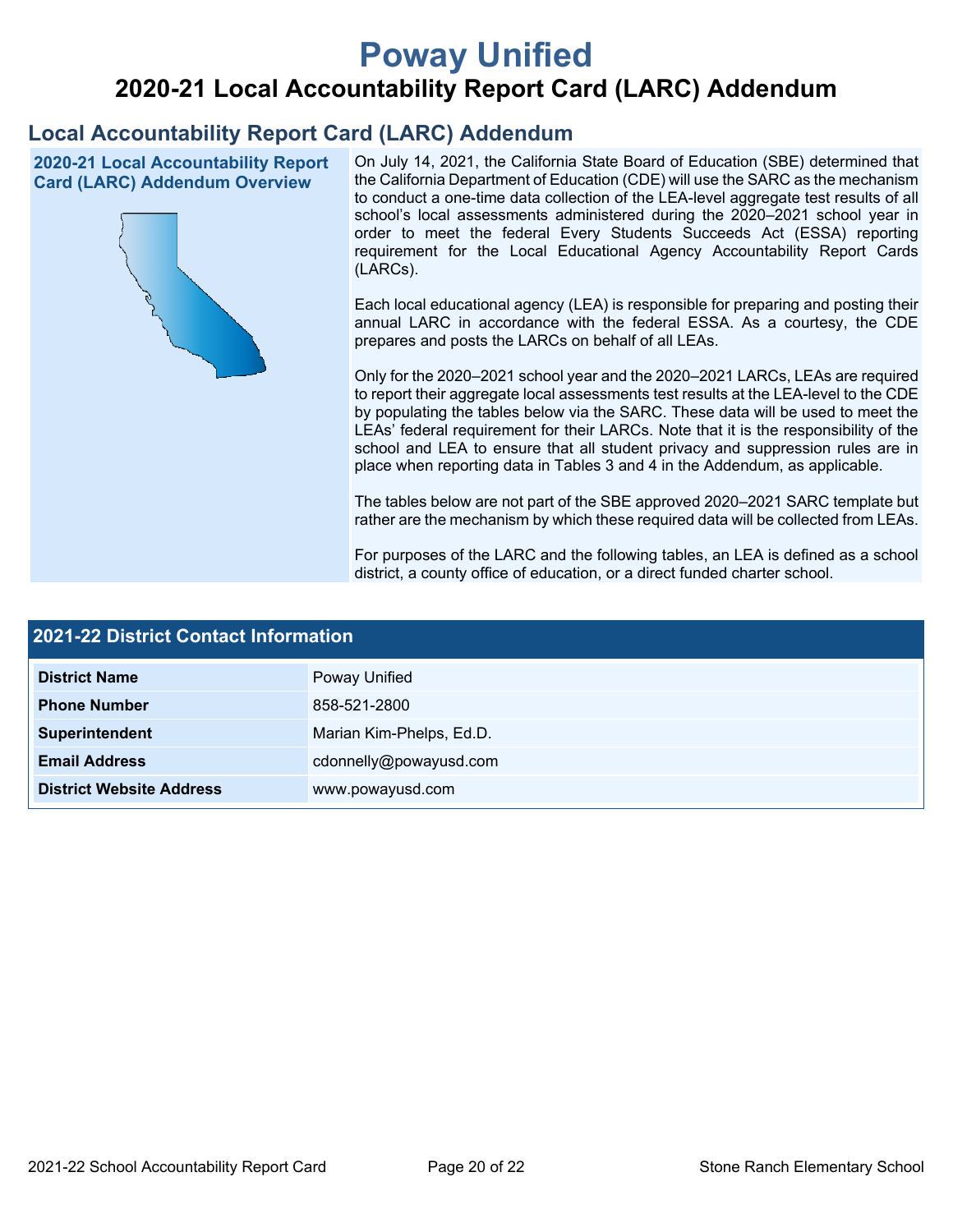# **Poway Unified**

## **2020-21 Local Accountability Report Card (LARC) Addendum**

## **Local Accountability Report Card (LARC) Addendum**

**2020-21 Local Accountability Report Card (LARC) Addendum Overview**



On July 14, 2021, the California State Board of Education (SBE) determined that the California Department of Education (CDE) will use the SARC as the mechanism to conduct a one-time data collection of the LEA-level aggregate test results of all school's local assessments administered during the 2020–2021 school year in order to meet the federal Every Students Succeeds Act (ESSA) reporting requirement for the Local Educational Agency Accountability Report Cards (LARCs).

Each local educational agency (LEA) is responsible for preparing and posting their annual LARC in accordance with the federal ESSA. As a courtesy, the CDE prepares and posts the LARCs on behalf of all LEAs.

Only for the 2020–2021 school year and the 2020–2021 LARCs, LEAs are required to report their aggregate local assessments test results at the LEA-level to the CDE by populating the tables below via the SARC. These data will be used to meet the LEAs' federal requirement for their LARCs. Note that it is the responsibility of the school and LEA to ensure that all student privacy and suppression rules are in place when reporting data in Tables 3 and 4 in the Addendum, as applicable.

The tables below are not part of the SBE approved 2020–2021 SARC template but rather are the mechanism by which these required data will be collected from LEAs.

For purposes of the LARC and the following tables, an LEA is defined as a school district, a county office of education, or a direct funded charter school.

| <b>2021-22 District Contact Information</b> |                          |  |  |  |
|---------------------------------------------|--------------------------|--|--|--|
| <b>District Name</b>                        | Poway Unified            |  |  |  |
| <b>Phone Number</b>                         | 858-521-2800             |  |  |  |
| Superintendent                              | Marian Kim-Phelps, Ed.D. |  |  |  |
| <b>Email Address</b>                        | cdonnelly@powayusd.com   |  |  |  |
| <b>District Website Address</b>             | www.powayusd.com         |  |  |  |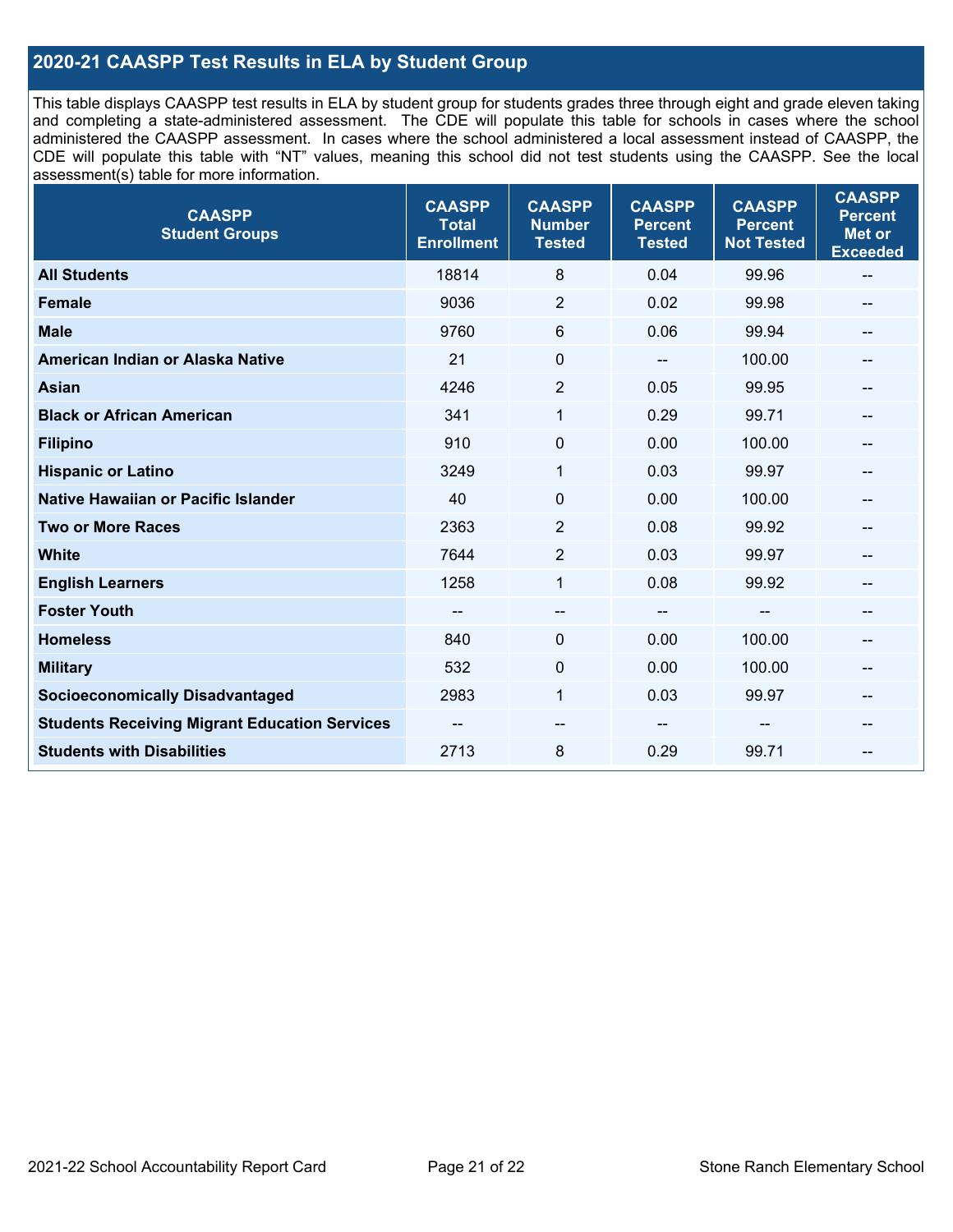### **2020-21 CAASPP Test Results in ELA by Student Group**

This table displays CAASPP test results in ELA by student group for students grades three through eight and grade eleven taking and completing a state-administered assessment. The CDE will populate this table for schools in cases where the school administered the CAASPP assessment. In cases where the school administered a local assessment instead of CAASPP, the CDE will populate this table with "NT" values, meaning this school did not test students using the CAASPP. See the local assessment(s) table for more information.

| <b>CAASPP</b><br><b>Student Groups</b>               | <b>CAASPP</b><br><b>Total</b><br><b>Enrollment</b> | <b>CAASPP</b><br><b>Number</b><br><b>Tested</b> | <b>CAASPP</b><br><b>Percent</b><br><b>Tested</b> | <b>CAASPP</b><br><b>Percent</b><br><b>Not Tested</b> | <b>CAASPP</b><br><b>Percent</b><br><b>Met or</b><br><b>Exceeded</b> |
|------------------------------------------------------|----------------------------------------------------|-------------------------------------------------|--------------------------------------------------|------------------------------------------------------|---------------------------------------------------------------------|
| <b>All Students</b>                                  | 18814                                              | 8                                               | 0.04                                             | 99.96                                                | $\sim$                                                              |
| <b>Female</b>                                        | 9036                                               | $\overline{2}$                                  | 0.02                                             | 99.98                                                | --                                                                  |
| <b>Male</b>                                          | 9760                                               | 6                                               | 0.06                                             | 99.94                                                | --                                                                  |
| American Indian or Alaska Native                     | 21                                                 | 0                                               | $\qquad \qquad \blacksquare$                     | 100.00                                               | --                                                                  |
| <b>Asian</b>                                         | 4246                                               | $\overline{2}$                                  | 0.05                                             | 99.95                                                | --                                                                  |
| <b>Black or African American</b>                     | 341                                                | 1                                               | 0.29                                             | 99.71                                                | --                                                                  |
| <b>Filipino</b>                                      | 910                                                | $\pmb{0}$                                       | 0.00                                             | 100.00                                               | --                                                                  |
| <b>Hispanic or Latino</b>                            | 3249                                               | 1                                               | 0.03                                             | 99.97                                                | --                                                                  |
| Native Hawaiian or Pacific Islander                  | 40                                                 | $\mathbf 0$                                     | 0.00                                             | 100.00                                               | --                                                                  |
| <b>Two or More Races</b>                             | 2363                                               | 2                                               | 0.08                                             | 99.92                                                |                                                                     |
| <b>White</b>                                         | 7644                                               | $\overline{2}$                                  | 0.03                                             | 99.97                                                | $- -$                                                               |
| <b>English Learners</b>                              | 1258                                               | $\mathbf{1}$                                    | 0.08                                             | 99.92                                                |                                                                     |
| <b>Foster Youth</b>                                  | --                                                 | $\qquad \qquad -$                               | $\qquad \qquad \blacksquare$                     | --                                                   | --                                                                  |
| <b>Homeless</b>                                      | 840                                                | $\mathbf 0$                                     | 0.00                                             | 100.00                                               | --                                                                  |
| <b>Military</b>                                      | 532                                                | $\mathbf 0$                                     | 0.00                                             | 100.00                                               | --                                                                  |
| <b>Socioeconomically Disadvantaged</b>               | 2983                                               | $\mathbf{1}$                                    | 0.03                                             | 99.97                                                | $\overline{\phantom{m}}$                                            |
| <b>Students Receiving Migrant Education Services</b> |                                                    | --                                              |                                                  |                                                      | --                                                                  |
| <b>Students with Disabilities</b>                    | 2713                                               | 8                                               | 0.29                                             | 99.71                                                | --                                                                  |